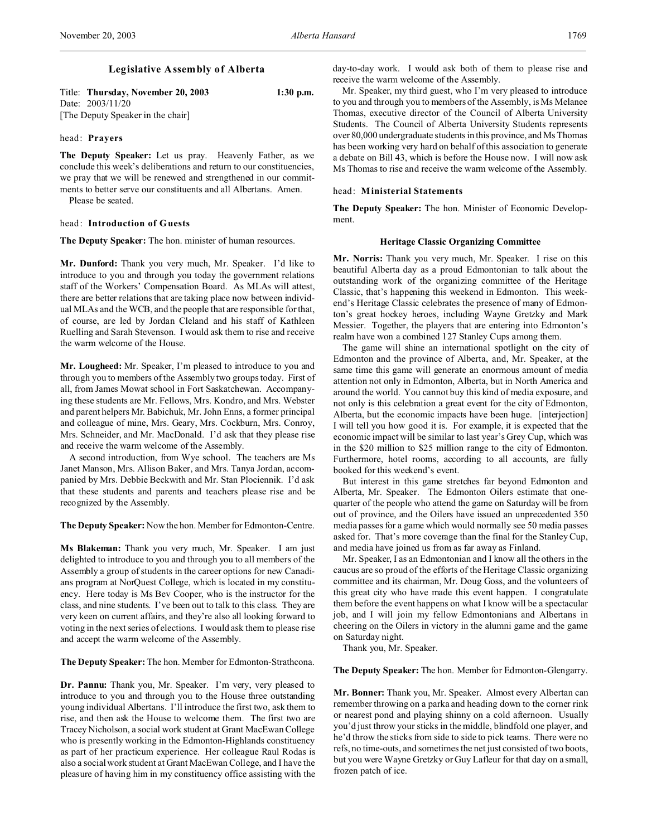# **Legislative Assembly of Alberta**

| Title: Thursday, November 20, 2003 | $1:30$ p.m. |
|------------------------------------|-------------|
| Date: $2003/11/20$                 |             |
| [The Deputy Speaker in the chair]  |             |

#### head: **Prayers**

**The Deputy Speaker:** Let us pray. Heavenly Father, as we conclude this week's deliberations and return to our constituencies, we pray that we will be renewed and strengthened in our commitments to better serve our constituents and all Albertans. Amen.

Please be seated.

### head: **Introduction of Guests**

**The Deputy Speaker:** The hon. minister of human resources.

**Mr. Dunford:** Thank you very much, Mr. Speaker. I'd like to introduce to you and through you today the government relations staff of the Workers' Compensation Board. As MLAs will attest, there are better relations that are taking place now between individual MLAs and the WCB, and the people that are responsible for that, of course, are led by Jordan Cleland and his staff of Kathleen Ruelling and Sarah Stevenson. I would ask them to rise and receive the warm welcome of the House.

**Mr. Lougheed:** Mr. Speaker, I'm pleased to introduce to you and through you to members of the Assembly two groups today. First of all, from James Mowat school in Fort Saskatchewan. Accompanying these students are Mr. Fellows, Mrs. Kondro, and Mrs. Webster and parent helpers Mr. Babichuk, Mr. John Enns, a former principal and colleague of mine, Mrs. Geary, Mrs. Cockburn, Mrs. Conroy, Mrs. Schneider, and Mr. MacDonald. I'd ask that they please rise and receive the warm welcome of the Assembly.

A second introduction, from Wye school. The teachers are Ms Janet Manson, Mrs. Allison Baker, and Mrs. Tanya Jordan, accompanied by Mrs. Debbie Beckwith and Mr. Stan Plociennik. I'd ask that these students and parents and teachers please rise and be recognized by the Assembly.

**The Deputy Speaker:** Now the hon. Member for Edmonton-Centre.

**Ms Blakeman:** Thank you very much, Mr. Speaker. I am just delighted to introduce to you and through you to all members of the Assembly a group of students in the career options for new Canadians program at NorQuest College, which is located in my constituency. Here today is Ms Bev Cooper, who is the instructor for the class, and nine students. I've been out to talk to this class. They are very keen on current affairs, and they're also all looking forward to voting in the next series of elections. I would ask them to please rise and accept the warm welcome of the Assembly.

**The Deputy Speaker:** The hon. Member for Edmonton-Strathcona.

**Dr. Pannu:** Thank you, Mr. Speaker. I'm very, very pleased to introduce to you and through you to the House three outstanding young individual Albertans. I'll introduce the first two, ask them to rise, and then ask the House to welcome them. The first two are Tracey Nicholson, a social work student at Grant MacEwan College who is presently working in the Edmonton-Highlands constituency as part of her practicum experience. Her colleague Raul Rodas is also a social work student at Grant MacEwan College, and I have the pleasure of having him in my constituency office assisting with the

day-to-day work. I would ask both of them to please rise and receive the warm welcome of the Assembly.

Mr. Speaker, my third guest, who I'm very pleased to introduce to you and through you to members of the Assembly, is Ms Melanee Thomas, executive director of the Council of Alberta University Students. The Council of Alberta University Students represents over 80,000 undergraduate students in this province, and Ms Thomas has been working very hard on behalf of this association to generate a debate on Bill 43, which is before the House now. I will now ask Ms Thomas to rise and receive the warm welcome of the Assembly.

### head: **Ministerial Statements**

**The Deputy Speaker:** The hon. Minister of Economic Development.

## **Heritage Classic Organizing Committee**

**Mr. Norris:** Thank you very much, Mr. Speaker. I rise on this beautiful Alberta day as a proud Edmontonian to talk about the outstanding work of the organizing committee of the Heritage Classic, that's happening this weekend in Edmonton. This weekend's Heritage Classic celebrates the presence of many of Edmonton's great hockey heroes, including Wayne Gretzky and Mark Messier. Together, the players that are entering into Edmonton's realm have won a combined 127 Stanley Cups among them.

The game will shine an international spotlight on the city of Edmonton and the province of Alberta, and, Mr. Speaker, at the same time this game will generate an enormous amount of media attention not only in Edmonton, Alberta, but in North America and around the world. You cannot buy this kind of media exposure, and not only is this celebration a great event for the city of Edmonton, Alberta, but the economic impacts have been huge. [interjection] I will tell you how good it is. For example, it is expected that the economic impact will be similar to last year's Grey Cup, which was in the \$20 million to \$25 million range to the city of Edmonton. Furthermore, hotel rooms, according to all accounts, are fully booked for this weekend's event.

But interest in this game stretches far beyond Edmonton and Alberta, Mr. Speaker. The Edmonton Oilers estimate that onequarter of the people who attend the game on Saturday will be from out of province, and the Oilers have issued an unprecedented 350 media passes for a game which would normally see 50 media passes asked for. That's more coverage than the final for the Stanley Cup, and media have joined us from as far away as Finland.

Mr. Speaker, I as an Edmontonian and I know all the others in the caucus are so proud of the efforts of the Heritage Classic organizing committee and its chairman, Mr. Doug Goss, and the volunteers of this great city who have made this event happen. I congratulate them before the event happens on what I know will be a spectacular job, and I will join my fellow Edmontonians and Albertans in cheering on the Oilers in victory in the alumni game and the game on Saturday night.

Thank you, Mr. Speaker.

**The Deputy Speaker:** The hon. Member for Edmonton-Glengarry.

**Mr. Bonner:** Thank you, Mr. Speaker. Almost every Albertan can remember throwing on a parka and heading down to the corner rink or nearest pond and playing shinny on a cold afternoon. Usually you'd just throw your sticks in the middle, blindfold one player, and he'd throw the sticks from side to side to pick teams. There were no refs, no time-outs, and sometimes the net just consisted of two boots, but you were Wayne Gretzky or Guy Lafleur for that day on a small, frozen patch of ice.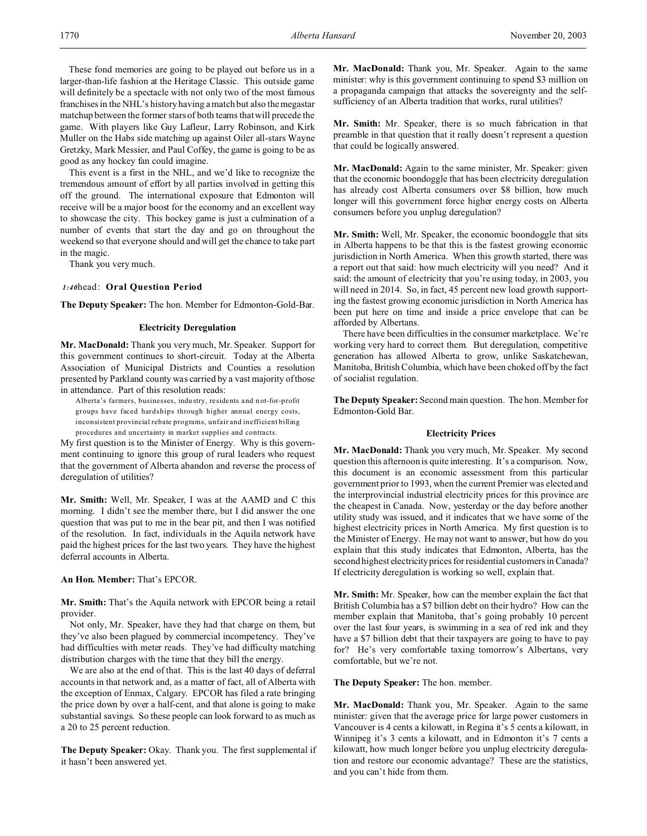These fond memories are going to be played out before us in a larger-than-life fashion at the Heritage Classic. This outside game will definitely be a spectacle with not only two of the most famous franchises in the NHL's history having a match but also the megastar matchup between the former stars of both teams that will precede the game. With players like Guy Lafleur, Larry Robinson, and Kirk Muller on the Habs side matching up against Oiler all-stars Wayne Gretzky, Mark Messier, and Paul Coffey, the game is going to be as good as any hockey fan could imagine.

This event is a first in the NHL, and we'd like to recognize the tremendous amount of effort by all parties involved in getting this off the ground. The international exposure that Edmonton will receive will be a major boost for the economy and an excellent way to showcase the city. This hockey game is just a culmination of a number of events that start the day and go on throughout the weekend so that everyone should and will get the chance to take part in the magic.

Thank you very much.

#### *1:40*head: **Oral Question Period**

**The Deputy Speaker:** The hon. Member for Edmonton-Gold-Bar.

#### **Electricity Deregulation**

**Mr. MacDonald:** Thank you very much, Mr. Speaker. Support for this government continues to short-circuit. Today at the Alberta Association of Municipal Districts and Counties a resolution presented by Parkland county was carried by a vast majority of those in attendance. Part of this resolution reads:

Alberta's farmers, businesses, indu stry, residents and n ot-for-profit groups have faced hardships through higher annual energy costs, inconsistent provincial rebate programs, unfair and inefficient billing procedures and uncertainty in market supplies and contracts.

My first question is to the Minister of Energy. Why is this government continuing to ignore this group of rural leaders who request that the government of Alberta abandon and reverse the process of deregulation of utilities?

**Mr. Smith:** Well, Mr. Speaker, I was at the AAMD and C this morning. I didn't see the member there, but I did answer the one question that was put to me in the bear pit, and then I was notified of the resolution. In fact, individuals in the Aquila network have paid the highest prices for the last two years. They have the highest deferral accounts in Alberta.

**An Hon. Member:** That's EPCOR.

**Mr. Smith:** That's the Aquila network with EPCOR being a retail provider.

Not only, Mr. Speaker, have they had that charge on them, but they've also been plagued by commercial incompetency. They've had difficulties with meter reads. They've had difficulty matching distribution charges with the time that they bill the energy.

We are also at the end of that. This is the last 40 days of deferral accounts in that network and, as a matter of fact, all of Alberta with the exception of Enmax, Calgary. EPCOR has filed a rate bringing the price down by over a half-cent, and that alone is going to make substantial savings. So these people can look forward to as much as a 20 to 25 percent reduction.

**The Deputy Speaker:** Okay. Thank you. The first supplemental if it hasn't been answered yet.

**Mr. MacDonald:** Thank you, Mr. Speaker. Again to the same minister: why is this government continuing to spend \$3 million on a propaganda campaign that attacks the sovereignty and the selfsufficiency of an Alberta tradition that works, rural utilities?

**Mr. Smith:** Mr. Speaker, there is so much fabrication in that preamble in that question that it really doesn't represent a question that could be logically answered.

**Mr. MacDonald:** Again to the same minister, Mr. Speaker: given that the economic boondoggle that has been electricity deregulation has already cost Alberta consumers over \$8 billion, how much longer will this government force higher energy costs on Alberta consumers before you unplug deregulation?

**Mr. Smith:** Well, Mr. Speaker, the economic boondoggle that sits in Alberta happens to be that this is the fastest growing economic jurisdiction in North America. When this growth started, there was a report out that said: how much electricity will you need? And it said: the amount of electricity that you're using today, in 2003, you will need in 2014. So, in fact, 45 percent new load growth supporting the fastest growing economic jurisdiction in North America has been put here on time and inside a price envelope that can be afforded by Albertans.

There have been difficulties in the consumer marketplace. We're working very hard to correct them. But deregulation, competitive generation has allowed Alberta to grow, unlike Saskatchewan, Manitoba, British Columbia, which have been choked off by the fact of socialist regulation.

**The Deputy Speaker:** Second main question. The hon. Member for Edmonton-Gold Bar.

### **Electricity Prices**

**Mr. MacDonald:** Thank you very much, Mr. Speaker. My second question this afternoon is quite interesting. It's a comparison. Now, this document is an economic assessment from this particular government prior to 1993, when the current Premier was elected and the interprovincial industrial electricity prices for this province are the cheapest in Canada. Now, yesterday or the day before another utility study was issued, and it indicates that we have some of the highest electricity prices in North America. My first question is to the Minister of Energy. He may not want to answer, but how do you explain that this study indicates that Edmonton, Alberta, has the second highest electricity prices for residential customers in Canada? If electricity deregulation is working so well, explain that.

**Mr. Smith:** Mr. Speaker, how can the member explain the fact that British Columbia has a \$7 billion debt on their hydro? How can the member explain that Manitoba, that's going probably 10 percent over the last four years, is swimming in a sea of red ink and they have a \$7 billion debt that their taxpayers are going to have to pay for? He's very comfortable taxing tomorrow's Albertans, very comfortable, but we're not.

**The Deputy Speaker:** The hon. member.

**Mr. MacDonald:** Thank you, Mr. Speaker. Again to the same minister: given that the average price for large power customers in Vancouver is 4 cents a kilowatt, in Regina it's 5 cents a kilowatt, in Winnipeg it's 3 cents a kilowatt, and in Edmonton it's 7 cents a kilowatt, how much longer before you unplug electricity deregulation and restore our economic advantage? These are the statistics, and you can't hide from them.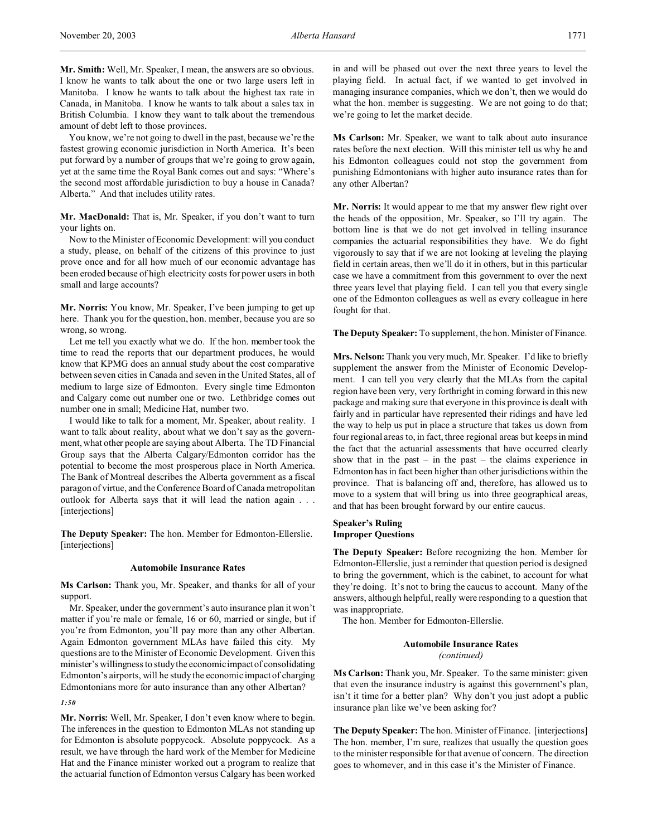**Mr. Smith:** Well, Mr. Speaker, I mean, the answers are so obvious. I know he wants to talk about the one or two large users left in Manitoba. I know he wants to talk about the highest tax rate in Canada, in Manitoba. I know he wants to talk about a sales tax in British Columbia. I know they want to talk about the tremendous amount of debt left to those provinces.

You know, we're not going to dwell in the past, because we're the fastest growing economic jurisdiction in North America. It's been put forward by a number of groups that we're going to grow again, yet at the same time the Royal Bank comes out and says: "Where's the second most affordable jurisdiction to buy a house in Canada? Alberta." And that includes utility rates.

**Mr. MacDonald:** That is, Mr. Speaker, if you don't want to turn your lights on.

Now to the Minister of Economic Development: will you conduct a study, please, on behalf of the citizens of this province to just prove once and for all how much of our economic advantage has been eroded because of high electricity costs for power users in both small and large accounts?

**Mr. Norris:** You know, Mr. Speaker, I've been jumping to get up here. Thank you for the question, hon. member, because you are so wrong, so wrong.

Let me tell you exactly what we do. If the hon. member took the time to read the reports that our department produces, he would know that KPMG does an annual study about the cost comparative between seven cities in Canada and seven in the United States, all of medium to large size of Edmonton. Every single time Edmonton and Calgary come out number one or two. Lethbridge comes out number one in small; Medicine Hat, number two.

I would like to talk for a moment, Mr. Speaker, about reality. I want to talk about reality, about what we don't say as the government, what other people are saying about Alberta. The TD Financial Group says that the Alberta Calgary/Edmonton corridor has the potential to become the most prosperous place in North America. The Bank of Montreal describes the Alberta government as a fiscal paragon of virtue, and the Conference Board of Canada metropolitan outlook for Alberta says that it will lead the nation again . . . [interjections]

**The Deputy Speaker:** The hon. Member for Edmonton-Ellerslie. [interjections]

#### **Automobile Insurance Rates**

**Ms Carlson:** Thank you, Mr. Speaker, and thanks for all of your support.

Mr. Speaker, under the government's auto insurance plan it won't matter if you're male or female, 16 or 60, married or single, but if you're from Edmonton, you'll pay more than any other Albertan. Again Edmonton government MLAs have failed this city. My questions are to the Minister of Economic Development. Given this minister's willingness to study the economic impact of consolidating Edmonton's airports, will he study the economic impact of charging Edmontonians more for auto insurance than any other Albertan?

*1:50*

**Mr. Norris:** Well, Mr. Speaker, I don't even know where to begin. The inferences in the question to Edmonton MLAs not standing up for Edmonton is absolute poppycock. Absolute poppycock. As a result, we have through the hard work of the Member for Medicine Hat and the Finance minister worked out a program to realize that the actuarial function of Edmonton versus Calgary has been worked

in and will be phased out over the next three years to level the playing field. In actual fact, if we wanted to get involved in managing insurance companies, which we don't, then we would do what the hon. member is suggesting. We are not going to do that; we're going to let the market decide.

**Ms Carlson:** Mr. Speaker, we want to talk about auto insurance rates before the next election. Will this minister tell us why he and his Edmonton colleagues could not stop the government from punishing Edmontonians with higher auto insurance rates than for any other Albertan?

**Mr. Norris:** It would appear to me that my answer flew right over the heads of the opposition, Mr. Speaker, so I'll try again. The bottom line is that we do not get involved in telling insurance companies the actuarial responsibilities they have. We do fight vigorously to say that if we are not looking at leveling the playing field in certain areas, then we'll do it in others, but in this particular case we have a commitment from this government to over the next three years level that playing field. I can tell you that every single one of the Edmonton colleagues as well as every colleague in here fought for that.

**The Deputy Speaker:** To supplement, the hon. Minister of Finance.

**Mrs. Nelson:** Thank you very much, Mr. Speaker. I'd like to briefly supplement the answer from the Minister of Economic Development. I can tell you very clearly that the MLAs from the capital region have been very, very forthright in coming forward in this new package and making sure that everyone in this province is dealt with fairly and in particular have represented their ridings and have led the way to help us put in place a structure that takes us down from four regional areas to, in fact, three regional areas but keeps in mind the fact that the actuarial assessments that have occurred clearly show that in the past – in the past – the claims experience in Edmonton has in fact been higher than other jurisdictions within the province. That is balancing off and, therefore, has allowed us to move to a system that will bring us into three geographical areas, and that has been brought forward by our entire caucus.

# **Speaker's Ruling Improper Questions**

**The Deputy Speaker:** Before recognizing the hon. Member for Edmonton-Ellerslie, just a reminder that question period is designed to bring the government, which is the cabinet, to account for what they're doing. It's not to bring the caucus to account. Many of the answers, although helpful, really were responding to a question that was inappropriate.

The hon. Member for Edmonton-Ellerslie.

**Automobile Insurance Rates** *(continued)*

**Ms Carlson:** Thank you, Mr. Speaker. To the same minister: given that even the insurance industry is against this government's plan, isn't it time for a better plan? Why don't you just adopt a public insurance plan like we've been asking for?

**The Deputy Speaker:** The hon. Minister of Finance. [interjections] The hon. member, I'm sure, realizes that usually the question goes to the minister responsible for that avenue of concern. The direction goes to whomever, and in this case it's the Minister of Finance.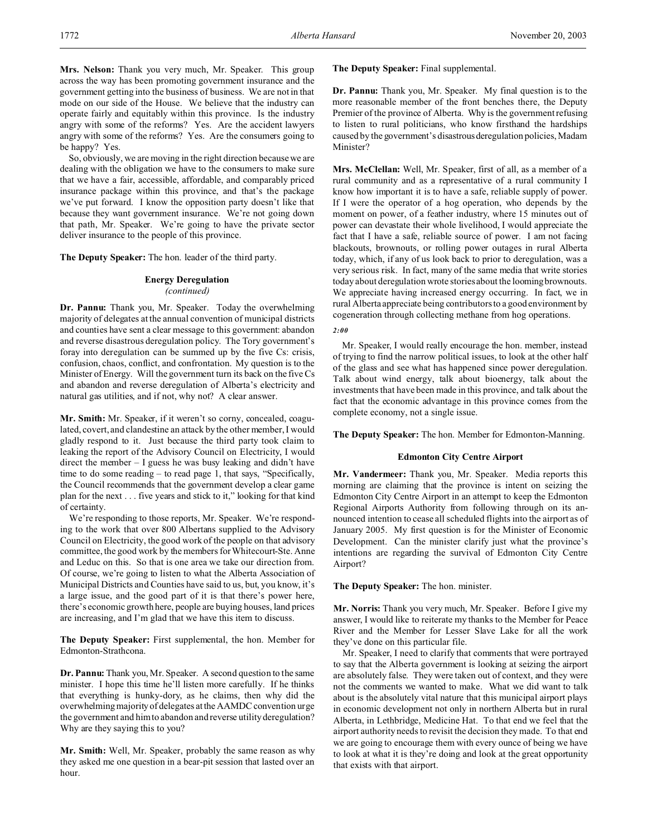**Mrs. Nelson:** Thank you very much, Mr. Speaker. This group across the way has been promoting government insurance and the government getting into the business of business. We are not in that mode on our side of the House. We believe that the industry can operate fairly and equitably within this province. Is the industry angry with some of the reforms? Yes. Are the accident lawyers angry with some of the reforms? Yes. Are the consumers going to be happy? Yes.

So, obviously, we are moving in the right direction because we are dealing with the obligation we have to the consumers to make sure that we have a fair, accessible, affordable, and comparably priced insurance package within this province, and that's the package we've put forward. I know the opposition party doesn't like that because they want government insurance. We're not going down that path, Mr. Speaker. We're going to have the private sector deliver insurance to the people of this province.

**The Deputy Speaker:** The hon. leader of the third party.

# **Energy Deregulation** *(continued)*

**Dr. Pannu:** Thank you, Mr. Speaker. Today the overwhelming majority of delegates at the annual convention of municipal districts and counties have sent a clear message to this government: abandon and reverse disastrous deregulation policy. The Tory government's foray into deregulation can be summed up by the five Cs: crisis, confusion, chaos, conflict, and confrontation. My question is to the Minister of Energy. Will the government turn its back on the five Cs and abandon and reverse deregulation of Alberta's electricity and natural gas utilities, and if not, why not? A clear answer.

**Mr. Smith:** Mr. Speaker, if it weren't so corny, concealed, coagulated, covert, and clandestine an attack by the other member, I would gladly respond to it. Just because the third party took claim to leaking the report of the Advisory Council on Electricity, I would direct the member – I guess he was busy leaking and didn't have time to do some reading – to read page 1, that says, "Specifically, the Council recommends that the government develop a clear game plan for the next . . . five years and stick to it," looking for that kind of certainty.

We're responding to those reports, Mr. Speaker. We're responding to the work that over 800 Albertans supplied to the Advisory Council on Electricity, the good work of the people on that advisory committee, the good work by the members for Whitecourt-Ste. Anne and Leduc on this. So that is one area we take our direction from. Of course, we're going to listen to what the Alberta Association of Municipal Districts and Counties have said to us, but, you know, it's a large issue, and the good part of it is that there's power here, there's economic growth here, people are buying houses, land prices are increasing, and I'm glad that we have this item to discuss.

**The Deputy Speaker:** First supplemental, the hon. Member for Edmonton-Strathcona.

**Dr. Pannu:** Thank you, Mr. Speaker. A second question to the same minister. I hope this time he'll listen more carefully. If he thinks that everything is hunky-dory, as he claims, then why did the overwhelming majority of delegates at the AAMDC convention urge the government and him to abandon and reverse utility deregulation? Why are they saying this to you?

**Mr. Smith:** Well, Mr. Speaker, probably the same reason as why they asked me one question in a bear-pit session that lasted over an hour.

**The Deputy Speaker:** Final supplemental.

**Dr. Pannu:** Thank you, Mr. Speaker. My final question is to the more reasonable member of the front benches there, the Deputy Premier of the province of Alberta. Why is the government refusing to listen to rural politicians, who know firsthand the hardships caused by the government's disastrousderegulation policies, Madam Minister?

**Mrs. McClellan:** Well, Mr. Speaker, first of all, as a member of a rural community and as a representative of a rural community I know how important it is to have a safe, reliable supply of power. If I were the operator of a hog operation, who depends by the moment on power, of a feather industry, where 15 minutes out of power can devastate their whole livelihood, I would appreciate the fact that I have a safe, reliable source of power. I am not facing blackouts, brownouts, or rolling power outages in rural Alberta today, which, if any of us look back to prior to deregulation, was a very serious risk. In fact, many of the same media that write stories today about deregulation wrote stories about the looming brownouts. We appreciate having increased energy occurring. In fact, we in rural Alberta appreciate being contributors to a good environment by cogeneration through collecting methane from hog operations.

# *2:00*

Mr. Speaker, I would really encourage the hon. member, instead of trying to find the narrow political issues, to look at the other half of the glass and see what has happened since power deregulation. Talk about wind energy, talk about bioenergy, talk about the investments that have been made in this province, and talk about the fact that the economic advantage in this province comes from the complete economy, not a single issue.

**The Deputy Speaker:** The hon. Member for Edmonton-Manning.

### **Edmonton City Centre Airport**

**Mr. Vandermeer:** Thank you, Mr. Speaker. Media reports this morning are claiming that the province is intent on seizing the Edmonton City Centre Airport in an attempt to keep the Edmonton Regional Airports Authority from following through on its announced intention to cease all scheduled flights into the airport as of January 2005. My first question is for the Minister of Economic Development. Can the minister clarify just what the province's intentions are regarding the survival of Edmonton City Centre Airport?

### **The Deputy Speaker:** The hon. minister.

**Mr. Norris:** Thank you very much, Mr. Speaker. Before I give my answer, I would like to reiterate my thanks to the Member for Peace River and the Member for Lesser Slave Lake for all the work they've done on this particular file.

Mr. Speaker, I need to clarify that comments that were portrayed to say that the Alberta government is looking at seizing the airport are absolutely false. They were taken out of context, and they were not the comments we wanted to make. What we did want to talk about is the absolutely vital nature that this municipal airport plays in economic development not only in northern Alberta but in rural Alberta, in Lethbridge, Medicine Hat. To that end we feel that the airport authority needs to revisit the decision they made. To that end we are going to encourage them with every ounce of being we have to look at what it is they're doing and look at the great opportunity that exists with that airport.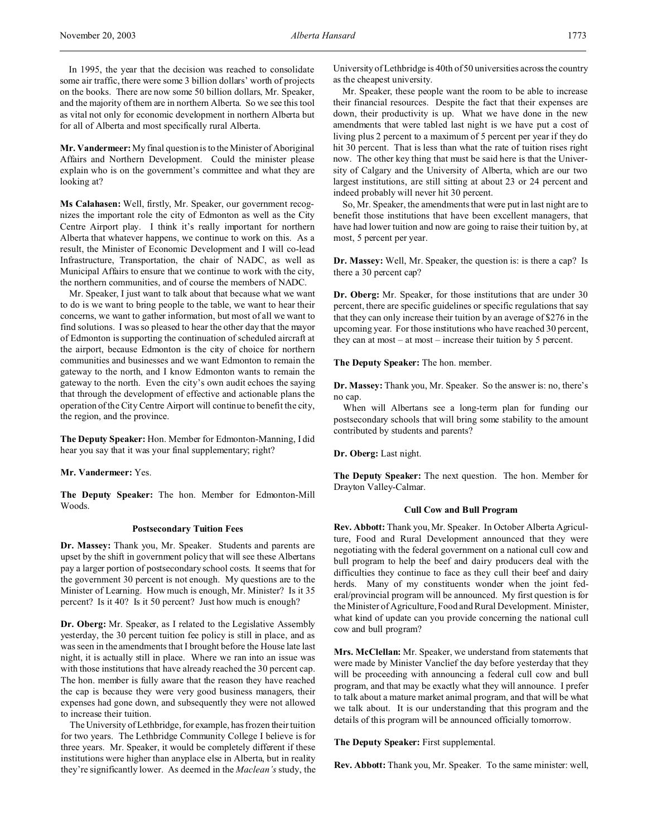In 1995, the year that the decision was reached to consolidate some air traffic, there were some 3 billion dollars' worth of projects on the books. There are now some 50 billion dollars, Mr. Speaker, and the majority of them are in northern Alberta. So we see this tool as vital not only for economic development in northern Alberta but for all of Alberta and most specifically rural Alberta.

**Mr. Vandermeer:** My final question is to the Minister of Aboriginal Affairs and Northern Development. Could the minister please explain who is on the government's committee and what they are looking at?

**Ms Calahasen:** Well, firstly, Mr. Speaker, our government recognizes the important role the city of Edmonton as well as the City Centre Airport play. I think it's really important for northern Alberta that whatever happens, we continue to work on this. As a result, the Minister of Economic Development and I will co-lead Infrastructure, Transportation, the chair of NADC, as well as Municipal Affairs to ensure that we continue to work with the city, the northern communities, and of course the members of NADC.

Mr. Speaker, I just want to talk about that because what we want to do is we want to bring people to the table, we want to hear their concerns, we want to gather information, but most of all we want to find solutions. I was so pleased to hear the other day that the mayor of Edmonton is supporting the continuation of scheduled aircraft at the airport, because Edmonton is the city of choice for northern communities and businesses and we want Edmonton to remain the gateway to the north, and I know Edmonton wants to remain the gateway to the north. Even the city's own audit echoes the saying that through the development of effective and actionable plans the operation of the City Centre Airport will continue to benefit the city, the region, and the province.

**The Deputy Speaker:** Hon. Member for Edmonton-Manning, I did hear you say that it was your final supplementary; right?

**Mr. Vandermeer:** Yes.

**The Deputy Speaker:** The hon. Member for Edmonton-Mill Woods.

### **Postsecondary Tuition Fees**

**Dr. Massey:** Thank you, Mr. Speaker. Students and parents are upset by the shift in government policy that will see these Albertans pay a larger portion of postsecondary school costs. It seems that for the government 30 percent is not enough. My questions are to the Minister of Learning. How much is enough, Mr. Minister? Is it 35 percent? Is it 40? Is it 50 percent? Just how much is enough?

**Dr. Oberg:** Mr. Speaker, as I related to the Legislative Assembly yesterday, the 30 percent tuition fee policy is still in place, and as was seen in the amendments that I brought before the House late last night, it is actually still in place. Where we ran into an issue was with those institutions that have already reached the 30 percent cap. The hon. member is fully aware that the reason they have reached the cap is because they were very good business managers, their expenses had gone down, and subsequently they were not allowed to increase their tuition.

The University of Lethbridge, for example, has frozen their tuition for two years. The Lethbridge Community College I believe is for three years. Mr. Speaker, it would be completely different if these institutions were higher than anyplace else in Alberta, but in reality they're significantly lower. As deemed in the *Maclean's* study, the University of Lethbridge is 40th of 50 universities across the country as the cheapest university.

Mr. Speaker, these people want the room to be able to increase their financial resources. Despite the fact that their expenses are down, their productivity is up. What we have done in the new amendments that were tabled last night is we have put a cost of living plus 2 percent to a maximum of 5 percent per year if they do hit 30 percent. That is less than what the rate of tuition rises right now. The other key thing that must be said here is that the University of Calgary and the University of Alberta, which are our two largest institutions, are still sitting at about 23 or 24 percent and indeed probably will never hit 30 percent.

So, Mr. Speaker, the amendments that were put in last night are to benefit those institutions that have been excellent managers, that have had lower tuition and now are going to raise their tuition by, at most, 5 percent per year.

**Dr. Massey:** Well, Mr. Speaker, the question is: is there a cap? Is there a 30 percent cap?

**Dr. Oberg:** Mr. Speaker, for those institutions that are under 30 percent, there are specific guidelines or specific regulations that say that they can only increase their tuition by an average of \$276 in the upcoming year. For those institutions who have reached 30 percent, they can at most – at most – increase their tuition by 5 percent.

**The Deputy Speaker:** The hon. member.

**Dr. Massey:** Thank you, Mr. Speaker. So the answer is: no, there's no cap.

When will Albertans see a long-term plan for funding our postsecondary schools that will bring some stability to the amount contributed by students and parents?

**Dr. Oberg:** Last night.

**The Deputy Speaker:** The next question. The hon. Member for Drayton Valley-Calmar.

#### **Cull Cow and Bull Program**

**Rev. Abbott:** Thank you, Mr. Speaker. In October Alberta Agriculture, Food and Rural Development announced that they were negotiating with the federal government on a national cull cow and bull program to help the beef and dairy producers deal with the difficulties they continue to face as they cull their beef and dairy herds. Many of my constituents wonder when the joint federal/provincial program will be announced. My first question is for the Minister of Agriculture, Food and Rural Development. Minister, what kind of update can you provide concerning the national cull cow and bull program?

**Mrs. McClellan:** Mr. Speaker, we understand from statements that were made by Minister Vanclief the day before yesterday that they will be proceeding with announcing a federal cull cow and bull program, and that may be exactly what they will announce. I prefer to talk about a mature market animal program, and that will be what we talk about. It is our understanding that this program and the details of this program will be announced officially tomorrow.

**The Deputy Speaker:** First supplemental.

**Rev. Abbott:** Thank you, Mr. Speaker. To the same minister: well,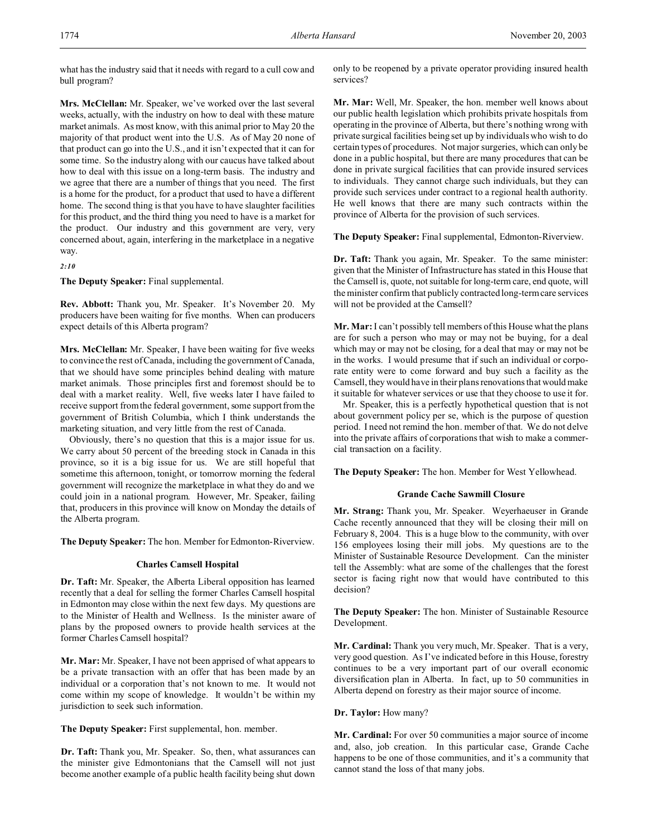what has the industry said that it needs with regard to a cull cow and bull program?

**Mrs. McClellan:** Mr. Speaker, we've worked over the last several weeks, actually, with the industry on how to deal with these mature market animals. As most know, with this animal prior to May 20 the majority of that product went into the U.S. As of May 20 none of that product can go into the U.S., and it isn't expected that it can for some time. So the industry along with our caucus have talked about how to deal with this issue on a long-term basis. The industry and we agree that there are a number of things that you need. The first is a home for the product, for a product that used to have a different home. The second thing is that you have to have slaughter facilities for this product, and the third thing you need to have is a market for the product. Our industry and this government are very, very concerned about, again, interfering in the marketplace in a negative way.

*2:10*

**The Deputy Speaker:** Final supplemental.

**Rev. Abbott:** Thank you, Mr. Speaker. It's November 20. My producers have been waiting for five months. When can producers expect details of this Alberta program?

**Mrs. McClellan:** Mr. Speaker, I have been waiting for five weeks to convince the rest of Canada, including the government of Canada, that we should have some principles behind dealing with mature market animals. Those principles first and foremost should be to deal with a market reality. Well, five weeks later I have failed to receive support from the federal government, some support from the government of British Columbia, which I think understands the marketing situation, and very little from the rest of Canada.

Obviously, there's no question that this is a major issue for us. We carry about 50 percent of the breeding stock in Canada in this province, so it is a big issue for us. We are still hopeful that sometime this afternoon, tonight, or tomorrow morning the federal government will recognize the marketplace in what they do and we could join in a national program. However, Mr. Speaker, failing that, producers in this province will know on Monday the details of the Alberta program.

**The Deputy Speaker:** The hon. Member for Edmonton-Riverview.

### **Charles Camsell Hospital**

**Dr. Taft:** Mr. Speaker, the Alberta Liberal opposition has learned recently that a deal for selling the former Charles Camsell hospital in Edmonton may close within the next few days. My questions are to the Minister of Health and Wellness. Is the minister aware of plans by the proposed owners to provide health services at the former Charles Camsell hospital?

**Mr. Mar:** Mr. Speaker, I have not been apprised of what appears to be a private transaction with an offer that has been made by an individual or a corporation that's not known to me. It would not come within my scope of knowledge. It wouldn't be within my jurisdiction to seek such information.

**The Deputy Speaker:** First supplemental, hon. member.

**Dr. Taft:** Thank you, Mr. Speaker. So, then, what assurances can the minister give Edmontonians that the Camsell will not just become another example of a public health facility being shut down only to be reopened by a private operator providing insured health services?

**Mr. Mar:** Well, Mr. Speaker, the hon. member well knows about our public health legislation which prohibits private hospitals from operating in the province of Alberta, but there's nothing wrong with private surgical facilities being set up by individuals who wish to do certain types of procedures. Not major surgeries, which can only be done in a public hospital, but there are many procedures that can be done in private surgical facilities that can provide insured services to individuals. They cannot charge such individuals, but they can provide such services under contract to a regional health authority. He well knows that there are many such contracts within the province of Alberta for the provision of such services.

**The Deputy Speaker:** Final supplemental, Edmonton-Riverview.

**Dr. Taft:** Thank you again, Mr. Speaker. To the same minister: given that the Minister of Infrastructure has stated in this House that the Camsell is, quote, not suitable for long-term care, end quote, will the minister confirm that publicly contracted long-term care services will not be provided at the Camsell?

**Mr. Mar:** I can't possibly tell members of this House what the plans are for such a person who may or may not be buying, for a deal which may or may not be closing, for a deal that may or may not be in the works. I would presume that if such an individual or corporate entity were to come forward and buy such a facility as the Camsell, they would have in their plans renovations that would make it suitable for whatever services or use that they choose to use it for.

Mr. Speaker, this is a perfectly hypothetical question that is not about government policy per se, which is the purpose of question period. I need not remind the hon. member of that. We do not delve into the private affairs of corporations that wish to make a commercial transaction on a facility.

**The Deputy Speaker:** The hon. Member for West Yellowhead.

# **Grande Cache Sawmill Closure**

**Mr. Strang:** Thank you, Mr. Speaker. Weyerhaeuser in Grande Cache recently announced that they will be closing their mill on February 8, 2004. This is a huge blow to the community, with over 156 employees losing their mill jobs. My questions are to the Minister of Sustainable Resource Development. Can the minister tell the Assembly: what are some of the challenges that the forest sector is facing right now that would have contributed to this decision?

**The Deputy Speaker:** The hon. Minister of Sustainable Resource Development.

**Mr. Cardinal:** Thank you very much, Mr. Speaker. That is a very, very good question. As I've indicated before in this House, forestry continues to be a very important part of our overall economic diversification plan in Alberta. In fact, up to 50 communities in Alberta depend on forestry as their major source of income.

**Dr. Taylor:** How many?

**Mr. Cardinal:** For over 50 communities a major source of income and, also, job creation. In this particular case, Grande Cache happens to be one of those communities, and it's a community that cannot stand the loss of that many jobs.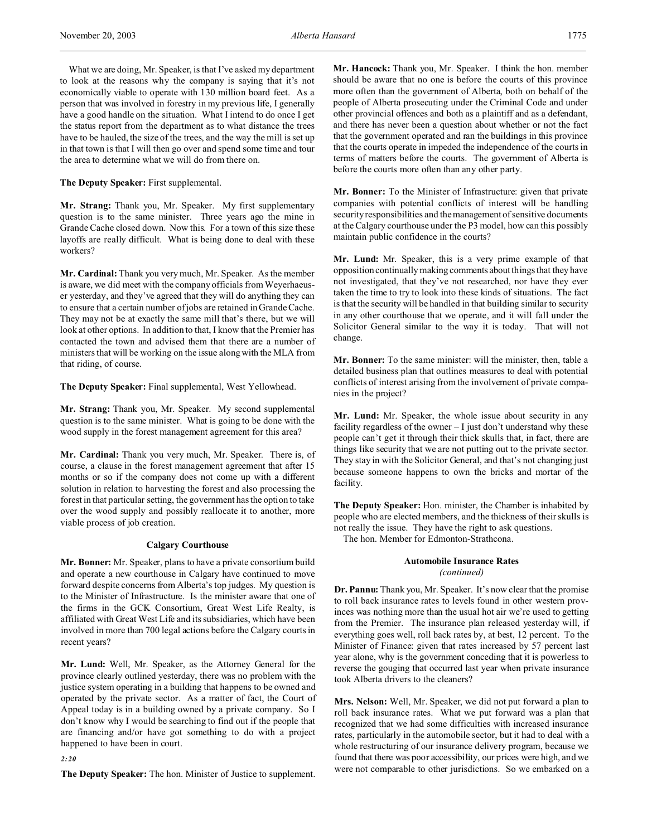What we are doing, Mr. Speaker, is that I've asked my department to look at the reasons why the company is saying that it's not economically viable to operate with 130 million board feet. As a person that was involved in forestry in my previous life, I generally have a good handle on the situation. What I intend to do once I get the status report from the department as to what distance the trees have to be hauled, the size of the trees, and the way the mill is set up in that town is that I will then go over and spend some time and tour the area to determine what we will do from there on.

**The Deputy Speaker:** First supplemental.

**Mr. Strang:** Thank you, Mr. Speaker. My first supplementary question is to the same minister. Three years ago the mine in Grande Cache closed down. Now this. For a town of this size these layoffs are really difficult. What is being done to deal with these workers?

**Mr. Cardinal:** Thank you very much, Mr. Speaker. As the member is aware, we did meet with the company officials from Weyerhaeuser yesterday, and they've agreed that they will do anything they can to ensure that a certain number of jobs are retained in Grande Cache. They may not be at exactly the same mill that's there, but we will look at other options. In addition to that, I know that the Premier has contacted the town and advised them that there are a number of ministers that will be working on the issue along with the MLA from that riding, of course.

**The Deputy Speaker:** Final supplemental, West Yellowhead.

**Mr. Strang:** Thank you, Mr. Speaker. My second supplemental question is to the same minister. What is going to be done with the wood supply in the forest management agreement for this area?

**Mr. Cardinal:** Thank you very much, Mr. Speaker. There is, of course, a clause in the forest management agreement that after 15 months or so if the company does not come up with a different solution in relation to harvesting the forest and also processing the forest in that particular setting, the government has the option to take over the wood supply and possibly reallocate it to another, more viable process of job creation.

# **Calgary Courthouse**

**Mr. Bonner:** Mr. Speaker, plans to have a private consortium build and operate a new courthouse in Calgary have continued to move forward despite concerns from Alberta's top judges. My question is to the Minister of Infrastructure. Is the minister aware that one of the firms in the GCK Consortium, Great West Life Realty, is affiliated with Great West Life and its subsidiaries, which have been involved in more than 700 legal actions before the Calgary courts in recent years?

**Mr. Lund:** Well, Mr. Speaker, as the Attorney General for the province clearly outlined yesterday, there was no problem with the justice system operating in a building that happens to be owned and operated by the private sector. As a matter of fact, the Court of Appeal today is in a building owned by a private company. So I don't know why I would be searching to find out if the people that are financing and/or have got something to do with a project happened to have been in court.

*2:20*

**The Deputy Speaker:** The hon. Minister of Justice to supplement.

**Mr. Hancock:** Thank you, Mr. Speaker. I think the hon. member should be aware that no one is before the courts of this province more often than the government of Alberta, both on behalf of the people of Alberta prosecuting under the Criminal Code and under other provincial offences and both as a plaintiff and as a defendant, and there has never been a question about whether or not the fact that the government operated and ran the buildings in this province that the courts operate in impeded the independence of the courts in terms of matters before the courts. The government of Alberta is before the courts more often than any other party.

**Mr. Bonner:** To the Minister of Infrastructure: given that private companies with potential conflicts of interest will be handling security responsibilities and the management of sensitive documents at the Calgary courthouse under the P3 model, how can this possibly maintain public confidence in the courts?

**Mr. Lund:** Mr. Speaker, this is a very prime example of that opposition continually making comments about things that they have not investigated, that they've not researched, nor have they ever taken the time to try to look into these kinds of situations. The fact is that the security will be handled in that building similar to security in any other courthouse that we operate, and it will fall under the Solicitor General similar to the way it is today. That will not change.

**Mr. Bonner:** To the same minister: will the minister, then, table a detailed business plan that outlines measures to deal with potential conflicts of interest arising from the involvement of private companies in the project?

**Mr. Lund:** Mr. Speaker, the whole issue about security in any facility regardless of the owner  $-1$  just don't understand why these people can't get it through their thick skulls that, in fact, there are things like security that we are not putting out to the private sector. They stay in with the Solicitor General, and that's not changing just because someone happens to own the bricks and mortar of the facility.

**The Deputy Speaker:** Hon. minister, the Chamber is inhabited by people who are elected members, and the thickness of their skulls is not really the issue. They have the right to ask questions.

The hon. Member for Edmonton-Strathcona.

# **Automobile Insurance Rates** *(continued)*

**Dr. Pannu:** Thank you, Mr. Speaker. It's now clear that the promise to roll back insurance rates to levels found in other western provinces was nothing more than the usual hot air we're used to getting from the Premier. The insurance plan released yesterday will, if everything goes well, roll back rates by, at best, 12 percent. To the Minister of Finance: given that rates increased by 57 percent last year alone, why is the government conceding that it is powerless to reverse the gouging that occurred last year when private insurance took Alberta drivers to the cleaners?

**Mrs. Nelson:** Well, Mr. Speaker, we did not put forward a plan to roll back insurance rates. What we put forward was a plan that recognized that we had some difficulties with increased insurance rates, particularly in the automobile sector, but it had to deal with a whole restructuring of our insurance delivery program, because we found that there was poor accessibility, our prices were high, and we were not comparable to other jurisdictions. So we embarked on a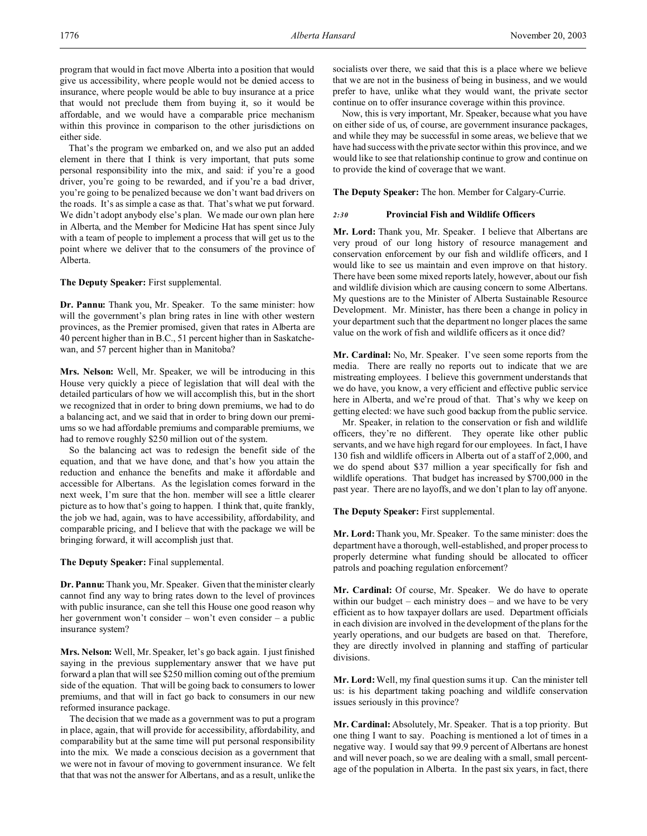program that would in fact move Alberta into a position that would give us accessibility, where people would not be denied access to insurance, where people would be able to buy insurance at a price that would not preclude them from buying it, so it would be affordable, and we would have a comparable price mechanism within this province in comparison to the other jurisdictions on either side.

That's the program we embarked on, and we also put an added element in there that I think is very important, that puts some personal responsibility into the mix, and said: if you're a good driver, you're going to be rewarded, and if you're a bad driver, you're going to be penalized because we don't want bad drivers on the roads. It's as simple a case as that. That's what we put forward. We didn't adopt anybody else's plan. We made our own plan here in Alberta, and the Member for Medicine Hat has spent since July with a team of people to implement a process that will get us to the point where we deliver that to the consumers of the province of Alberta.

**The Deputy Speaker:** First supplemental.

**Dr. Pannu:** Thank you, Mr. Speaker. To the same minister: how will the government's plan bring rates in line with other western provinces, as the Premier promised, given that rates in Alberta are 40 percent higher than in B.C., 51 percent higher than in Saskatchewan, and 57 percent higher than in Manitoba?

**Mrs. Nelson:** Well, Mr. Speaker, we will be introducing in this House very quickly a piece of legislation that will deal with the detailed particulars of how we will accomplish this, but in the short we recognized that in order to bring down premiums, we had to do a balancing act, and we said that in order to bring down our premiums so we had affordable premiums and comparable premiums, we had to remove roughly \$250 million out of the system.

So the balancing act was to redesign the benefit side of the equation, and that we have done, and that's how you attain the reduction and enhance the benefits and make it affordable and accessible for Albertans. As the legislation comes forward in the next week, I'm sure that the hon. member will see a little clearer picture as to how that's going to happen. I think that, quite frankly, the job we had, again, was to have accessibility, affordability, and comparable pricing, and I believe that with the package we will be bringing forward, it will accomplish just that.

**The Deputy Speaker:** Final supplemental.

**Dr. Pannu:** Thank you, Mr. Speaker. Given that the minister clearly cannot find any way to bring rates down to the level of provinces with public insurance, can she tell this House one good reason why her government won't consider – won't even consider – a public insurance system?

**Mrs. Nelson:** Well, Mr. Speaker, let's go back again. I just finished saying in the previous supplementary answer that we have put forward a plan that will see \$250 million coming out of the premium side of the equation. That will be going back to consumers to lower premiums, and that will in fact go back to consumers in our new reformed insurance package.

The decision that we made as a government was to put a program in place, again, that will provide for accessibility, affordability, and comparability but at the same time will put personal responsibility into the mix. We made a conscious decision as a government that we were not in favour of moving to government insurance. We felt that that was not the answer for Albertans, and as a result, unlike the

socialists over there, we said that this is a place where we believe that we are not in the business of being in business, and we would prefer to have, unlike what they would want, the private sector continue on to offer insurance coverage within this province.

Now, this is very important, Mr. Speaker, because what you have on either side of us, of course, are government insurance packages, and while they may be successful in some areas, we believe that we have had success with the private sector within this province, and we would like to see that relationship continue to grow and continue on to provide the kind of coverage that we want.

**The Deputy Speaker:** The hon. Member for Calgary-Currie.

# *2:30* **Provincial Fish and Wildlife Officers**

**Mr. Lord:** Thank you, Mr. Speaker. I believe that Albertans are very proud of our long history of resource management and conservation enforcement by our fish and wildlife officers, and I would like to see us maintain and even improve on that history. There have been some mixed reports lately, however, about our fish and wildlife division which are causing concern to some Albertans. My questions are to the Minister of Alberta Sustainable Resource Development. Mr. Minister, has there been a change in policy in your department such that the department no longer places the same value on the work of fish and wildlife officers as it once did?

**Mr. Cardinal:** No, Mr. Speaker. I've seen some reports from the media. There are really no reports out to indicate that we are mistreating employees. I believe this government understands that we do have, you know, a very efficient and effective public service here in Alberta, and we're proud of that. That's why we keep on getting elected: we have such good backup from the public service.

Mr. Speaker, in relation to the conservation or fish and wildlife officers, they're no different. They operate like other public servants, and we have high regard for our employees. In fact, I have 130 fish and wildlife officers in Alberta out of a staff of 2,000, and we do spend about \$37 million a year specifically for fish and wildlife operations. That budget has increased by \$700,000 in the past year. There are no layoffs, and we don't plan to lay off anyone.

**The Deputy Speaker:** First supplemental.

**Mr. Lord:**Thank you, Mr. Speaker. To the same minister: does the department have a thorough, well-established, and proper process to properly determine what funding should be allocated to officer patrols and poaching regulation enforcement?

**Mr. Cardinal:** Of course, Mr. Speaker. We do have to operate within our budget – each ministry does – and we have to be very efficient as to how taxpayer dollars are used. Department officials in each division are involved in the development of the plans for the yearly operations, and our budgets are based on that. Therefore, they are directly involved in planning and staffing of particular divisions.

**Mr. Lord:**Well, my final question sums it up. Can the minister tell us: is his department taking poaching and wildlife conservation issues seriously in this province?

**Mr. Cardinal:** Absolutely, Mr. Speaker. That is a top priority. But one thing I want to say. Poaching is mentioned a lot of times in a negative way. I would say that 99.9 percent of Albertans are honest and will never poach, so we are dealing with a small, small percentage of the population in Alberta. In the past six years, in fact, there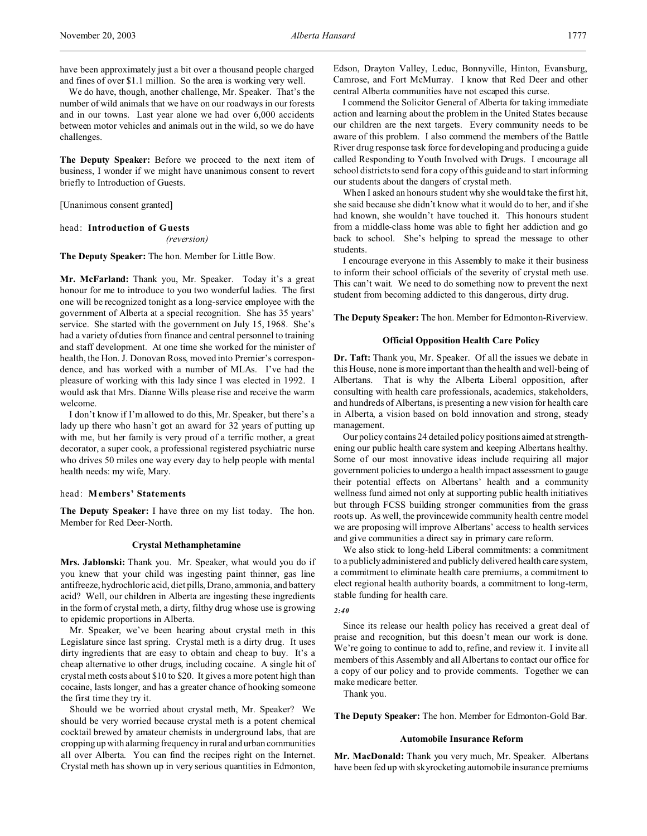have been approximately just a bit over a thousand people charged and fines of over \$1.1 million. So the area is working very well.

We do have, though, another challenge, Mr. Speaker. That's the number of wild animals that we have on our roadways in our forests and in our towns. Last year alone we had over 6,000 accidents between motor vehicles and animals out in the wild, so we do have challenges.

**The Deputy Speaker:** Before we proceed to the next item of business, I wonder if we might have unanimous consent to revert briefly to Introduction of Guests.

[Unanimous consent granted]

### head: **Introduction of Guests**

*(reversion)*

**The Deputy Speaker:** The hon. Member for Little Bow.

**Mr. McFarland:** Thank you, Mr. Speaker. Today it's a great honour for me to introduce to you two wonderful ladies. The first one will be recognized tonight as a long-service employee with the government of Alberta at a special recognition. She has 35 years' service. She started with the government on July 15, 1968. She's had a variety of duties from finance and central personnel to training and staff development. At one time she worked for the minister of health, the Hon. J. Donovan Ross, moved into Premier's correspondence, and has worked with a number of MLAs. I've had the pleasure of working with this lady since I was elected in 1992. I would ask that Mrs. Dianne Wills please rise and receive the warm welcome.

I don't know if I'm allowed to do this, Mr. Speaker, but there's a lady up there who hasn't got an award for 32 years of putting up with me, but her family is very proud of a terrific mother, a great decorator, a super cook, a professional registered psychiatric nurse who drives 50 miles one way every day to help people with mental health needs: my wife, Mary.

# head: **Members' Statements**

**The Deputy Speaker:** I have three on my list today. The hon. Member for Red Deer-North.

### **Crystal Methamphetamine**

**Mrs. Jablonski:** Thank you. Mr. Speaker, what would you do if you knew that your child was ingesting paint thinner, gas line antifreeze, hydrochloric acid, diet pills, Drano, ammonia, and battery acid? Well, our children in Alberta are ingesting these ingredients in the form of crystal meth, a dirty, filthy drug whose use is growing to epidemic proportions in Alberta.

Mr. Speaker, we've been hearing about crystal meth in this Legislature since last spring. Crystal meth is a dirty drug. It uses dirty ingredients that are easy to obtain and cheap to buy. It's a cheap alternative to other drugs, including cocaine. A single hit of crystal meth costs about \$10 to \$20. It gives a more potent high than cocaine, lasts longer, and has a greater chance of hooking someone the first time they try it.

Should we be worried about crystal meth, Mr. Speaker? We should be very worried because crystal meth is a potent chemical cocktail brewed by amateur chemists in underground labs, that are cropping up with alarming frequency in rural and urban communities all over Alberta. You can find the recipes right on the Internet. Crystal meth has shown up in very serious quantities in Edmonton,

Edson, Drayton Valley, Leduc, Bonnyville, Hinton, Evansburg, Camrose, and Fort McMurray. I know that Red Deer and other central Alberta communities have not escaped this curse.

I commend the Solicitor General of Alberta for taking immediate action and learning about the problem in the United States because our children are the next targets. Every community needs to be aware of this problem. I also commend the members of the Battle River drug response task force for developing and producing a guide called Responding to Youth Involved with Drugs. I encourage all school districts to send for a copy of this guide and to start informing our students about the dangers of crystal meth.

When I asked an honours student why she would take the first hit, she said because she didn't know what it would do to her, and if she had known, she wouldn't have touched it. This honours student from a middle-class home was able to fight her addiction and go back to school. She's helping to spread the message to other students.

I encourage everyone in this Assembly to make it their business to inform their school officials of the severity of crystal meth use. This can't wait. We need to do something now to prevent the next student from becoming addicted to this dangerous, dirty drug.

**The Deputy Speaker:** The hon. Member for Edmonton-Riverview.

### **Official Opposition Health Care Policy**

**Dr. Taft:** Thank you, Mr. Speaker. Of all the issues we debate in this House, none is more important than the health and well-being of Albertans. That is why the Alberta Liberal opposition, after consulting with health care professionals, academics, stakeholders, and hundreds of Albertans, is presenting a new vision for health care in Alberta, a vision based on bold innovation and strong, steady management.

Our policy contains 24 detailed policy positions aimed at strengthening our public health care system and keeping Albertans healthy. Some of our most innovative ideas include requiring all major government policies to undergo a health impact assessment to gauge their potential effects on Albertans' health and a community wellness fund aimed not only at supporting public health initiatives but through FCSS building stronger communities from the grass roots up. As well, the provincewide community health centre model we are proposing will improve Albertans' access to health services and give communities a direct say in primary care reform.

We also stick to long-held Liberal commitments: a commitment to a publicly administered and publicly delivered health care system, a commitment to eliminate health care premiums, a commitment to elect regional health authority boards, a commitment to long-term, stable funding for health care.

# *2:40*

Since its release our health policy has received a great deal of praise and recognition, but this doesn't mean our work is done. We're going to continue to add to, refine, and review it. I invite all members of this Assembly and all Albertans to contact our office for a copy of our policy and to provide comments. Together we can make medicare better.

Thank you.

**The Deputy Speaker:** The hon. Member for Edmonton-Gold Bar.

#### **Automobile Insurance Reform**

**Mr. MacDonald:** Thank you very much, Mr. Speaker. Albertans have been fed up with skyrocketing automobile insurance premiums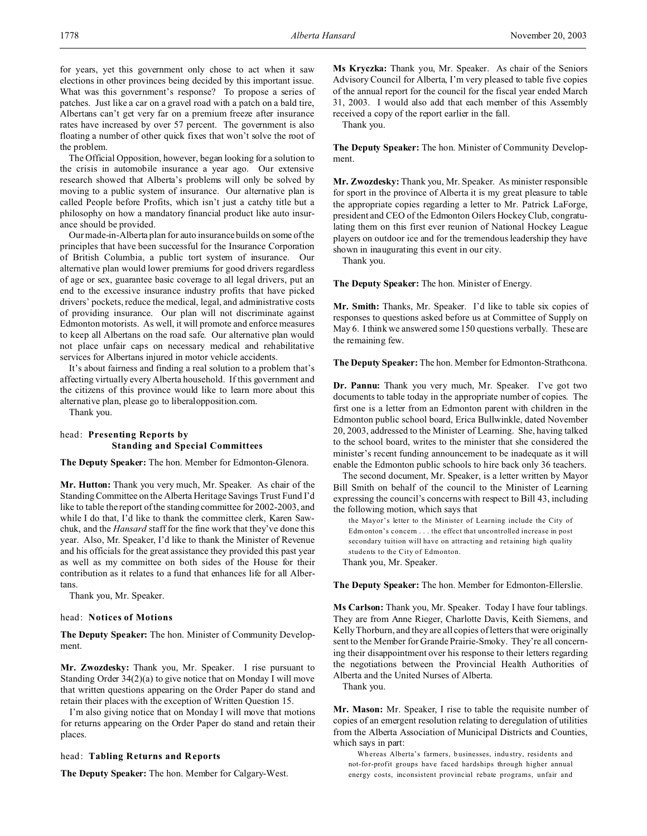for years, yet this government only chose to act when it saw elections in other provinces being decided by this important issue. What was this government's response? To propose a series of patches. Just like a car on a gravel road with a patch on a bald tire, Albertans can't get very far on a premium freeze after insurance rates have increased by over 57 percent. The government is also floating a number of other quick fixes that won't solve the root of the problem.

The Official Opposition, however, began looking for a solution to the crisis in automobile insurance a year ago. Our extensive research showed that Alberta's problems will only be solved by moving to a public system of insurance. Our alternative plan is called People before Profits, which isn't just a catchy title but a philosophy on how a mandatory financial product like auto insurance should be provided.

Our made-in-Alberta plan for auto insurance builds on some of the principles that have been successful for the Insurance Corporation of British Columbia, a public tort system of insurance. Our alternative plan would lower premiums for good drivers regardless of age or sex, guarantee basic coverage to all legal drivers, put an end to the excessive insurance industry profits that have picked drivers' pockets, reduce the medical, legal, and administrative costs of providing insurance. Our plan will not discriminate against Edmonton motorists. As well, it will promote and enforce measures to keep all Albertans on the road safe. Our alternative plan would not place unfair caps on necessary medical and rehabilitative services for Albertans injured in motor vehicle accidents.

It's about fairness and finding a real solution to a problem that's affecting virtually every Alberta household. If this government and the citizens of this province would like to learn more about this alternative plan, please go to liberalopposition.com.

Thank you.

# head: **Presenting Reports by Standing and Special Committees**

**The Deputy Speaker:** The hon. Member for Edmonton-Glenora.

**Mr. Hutton:** Thank you very much, Mr. Speaker. As chair of the Standing Committee on the Alberta Heritage Savings Trust Fund I'd like to table the report of the standing committee for 2002-2003, and while I do that, I'd like to thank the committee clerk, Karen Sawchuk, and the *Hansard* staff for the fine work that they've done this year. Also, Mr. Speaker, I'd like to thank the Minister of Revenue and his officials for the great assistance they provided this past year as well as my committee on both sides of the House for their contribution as it relates to a fund that enhances life for all Albertans.

Thank you, Mr. Speaker.

#### head: **Notices of Motions**

**The Deputy Speaker:** The hon. Minister of Community Development.

**Mr. Zwozdesky:** Thank you, Mr. Speaker. I rise pursuant to Standing Order 34(2)(a) to give notice that on Monday I will move that written questions appearing on the Order Paper do stand and retain their places with the exception of Written Question 15.

I'm also giving notice that on Monday I will move that motions for returns appearing on the Order Paper do stand and retain their places.

### head: **Tabling Returns and Reports**

**The Deputy Speaker:** The hon. Member for Calgary-West.

**Ms Kryczka:** Thank you, Mr. Speaker. As chair of the Seniors Advisory Council for Alberta, I'm very pleased to table five copies of the annual report for the council for the fiscal year ended March 31, 2003. I would also add that each member of this Assembly received a copy of the report earlier in the fall.

Thank you.

**The Deputy Speaker:** The hon. Minister of Community Development.

**Mr. Zwozdesky:** Thank you, Mr. Speaker. As minister responsible for sport in the province of Alberta it is my great pleasure to table the appropriate copies regarding a letter to Mr. Patrick LaForge, president and CEO of the Edmonton Oilers Hockey Club, congratulating them on this first ever reunion of National Hockey League players on outdoor ice and for the tremendous leadership they have shown in inaugurating this event in our city.

Thank you.

**The Deputy Speaker:** The hon. Minister of Energy.

**Mr. Smith:** Thanks, Mr. Speaker. I'd like to table six copies of responses to questions asked before us at Committee of Supply on May 6. I think we answered some 150 questions verbally. These are the remaining few.

**The Deputy Speaker:** The hon. Member for Edmonton-Strathcona.

**Dr. Pannu:** Thank you very much, Mr. Speaker. I've got two documents to table today in the appropriate number of copies. The first one is a letter from an Edmonton parent with children in the Edmonton public school board, Erica Bullwinkle, dated November 20, 2003, addressed to the Minister of Learning. She, having talked to the school board, writes to the minister that she considered the minister's recent funding announcement to be inadequate as it will enable the Edmonton public schools to hire back only 36 teachers.

The second document, Mr. Speaker, is a letter written by Mayor Bill Smith on behalf of the council to the Minister of Learning expressing the council's concerns with respect to Bill 43, including the following motion, which says that

the Mayor's letter to the Minister of Learning include the City of Edm onton's concern . . . the effect that uncontrolled increase in post secondary tuition will have on attracting and retaining high qua lity students to the City of Edmonton. Thank you, Mr. Speaker.

**The Deputy Speaker:** The hon. Member for Edmonton-Ellerslie.

**Ms Carlson:** Thank you, Mr. Speaker. Today I have four tablings. They are from Anne Rieger, Charlotte Davis, Keith Siemens, and Kelly Thorburn, and they are all copies of letters that were originally sent to the Member for Grande Prairie-Smoky. They're all concerning their disappointment over his response to their letters regarding the negotiations between the Provincial Health Authorities of Alberta and the United Nurses of Alberta.

Thank you.

**Mr. Mason:** Mr. Speaker, I rise to table the requisite number of copies of an emergent resolution relating to deregulation of utilities from the Alberta Association of Municipal Districts and Counties, which says in part:

Whereas Alberta's farmers, businesses, industry, residents and not-for-profit groups have faced hardships through higher annual energy costs, inconsistent provincial rebate programs, unfair and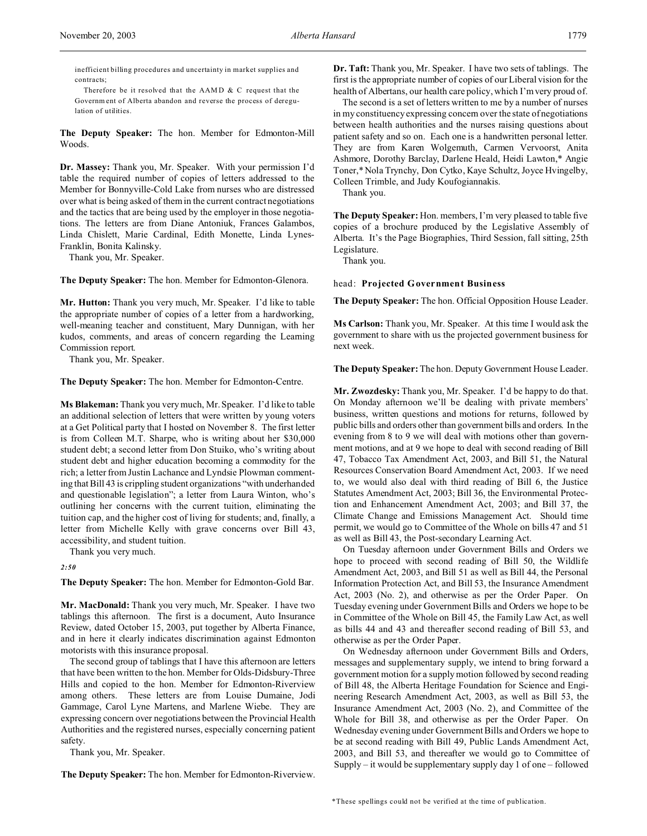Therefore be it resolved that the AAMD & C request that the Governm ent of Alberta abandon and reverse the process of deregulation of utilities.

**The Deputy Speaker:** The hon. Member for Edmonton-Mill Woods.

**Dr. Massey:** Thank you, Mr. Speaker. With your permission I'd table the required number of copies of letters addressed to the Member for Bonnyville-Cold Lake from nurses who are distressed over what is being asked of them in the current contract negotiations and the tactics that are being used by the employer in those negotiations. The letters are from Diane Antoniuk, Frances Galambos, Linda Chislett, Marie Cardinal, Edith Monette, Linda Lynes-Franklin, Bonita Kalinsky.

Thank you, Mr. Speaker.

**The Deputy Speaker:** The hon. Member for Edmonton-Glenora.

**Mr. Hutton:** Thank you very much, Mr. Speaker. I'd like to table the appropriate number of copies of a letter from a hardworking, well-meaning teacher and constituent, Mary Dunnigan, with her kudos, comments, and areas of concern regarding the Learning Commission report.

Thank you, Mr. Speaker.

**The Deputy Speaker:** The hon. Member for Edmonton-Centre.

**Ms Blakeman:** Thank you very much, Mr. Speaker. I'd like to table an additional selection of letters that were written by young voters at a Get Political party that I hosted on November 8. The first letter is from Colleen M.T. Sharpe, who is writing about her \$30,000 student debt; a second letter from Don Stuiko, who's writing about student debt and higher education becoming a commodity for the rich; a letter from Justin Lachance and Lyndsie Plowman commenting that Bill 43 is crippling student organizations "with underhanded and questionable legislation"; a letter from Laura Winton, who's outlining her concerns with the current tuition, eliminating the tuition cap, and the higher cost of living for students; and, finally, a letter from Michelle Kelly with grave concerns over Bill 43, accessibility, and student tuition.

Thank you very much.

*2:50*

**The Deputy Speaker:** The hon. Member for Edmonton-Gold Bar.

**Mr. MacDonald:** Thank you very much, Mr. Speaker. I have two tablings this afternoon. The first is a document, Auto Insurance Review, dated October 15, 2003, put together by Alberta Finance, and in here it clearly indicates discrimination against Edmonton motorists with this insurance proposal.

The second group of tablings that I have this afternoon are letters that have been written to the hon. Member for Olds-Didsbury-Three Hills and copied to the hon. Member for Edmonton-Riverview among others. These letters are from Louise Dumaine, Jodi Gammage, Carol Lyne Martens, and Marlene Wiebe. They are expressing concern over negotiations between the Provincial Health Authorities and the registered nurses, especially concerning patient safety.

Thank you, Mr. Speaker.

**The Deputy Speaker:** The hon. Member for Edmonton-Riverview.

**Dr. Taft:** Thank you, Mr. Speaker. I have two sets of tablings. The first is the appropriate number of copies of our Liberal vision for the health of Albertans, our health care policy, which I'm very proud of.

The second is a set of letters written to me by a number of nurses in my constituency expressing concern over the state of negotiations between health authorities and the nurses raising questions about patient safety and so on. Each one is a handwritten personal letter. They are from Karen Wolgemuth, Carmen Vervoorst, Anita Ashmore, Dorothy Barclay, Darlene Heald, Heidi Lawton,\* Angie Toner,\* Nola Trynchy, Don Cytko, Kaye Schultz, Joyce Hvingelby, Colleen Trimble, and Judy Koufogiannakis.

Thank you.

**The Deputy Speaker:** Hon. members, I'm very pleased to table five copies of a brochure produced by the Legislative Assembly of Alberta. It's the Page Biographies, Third Session, fall sitting, 25th Legislature.

Thank you.

### head: **Projected Government Business**

**The Deputy Speaker:** The hon. Official Opposition House Leader.

**Ms Carlson:** Thank you, Mr. Speaker. At this time I would ask the government to share with us the projected government business for next week.

#### **The Deputy Speaker:** The hon. Deputy Government House Leader.

**Mr. Zwozdesky:** Thank you, Mr. Speaker. I'd be happy to do that. On Monday afternoon we'll be dealing with private members' business, written questions and motions for returns, followed by public bills and orders other than government bills and orders. In the evening from 8 to 9 we will deal with motions other than government motions, and at 9 we hope to deal with second reading of Bill 47, Tobacco Tax Amendment Act, 2003, and Bill 51, the Natural Resources Conservation Board Amendment Act, 2003. If we need to, we would also deal with third reading of Bill 6, the Justice Statutes Amendment Act, 2003; Bill 36, the Environmental Protection and Enhancement Amendment Act, 2003; and Bill 37, the Climate Change and Emissions Management Act. Should time permit, we would go to Committee of the Whole on bills 47 and 51 as well as Bill 43, the Post-secondary Learning Act.

On Tuesday afternoon under Government Bills and Orders we hope to proceed with second reading of Bill 50, the Wildlife Amendment Act, 2003, and Bill 51 as well as Bill 44, the Personal Information Protection Act, and Bill 53, the Insurance Amendment Act, 2003 (No. 2), and otherwise as per the Order Paper. On Tuesday evening under Government Bills and Orders we hope to be in Committee of the Whole on Bill 45, the Family Law Act, as well as bills 44 and 43 and thereafter second reading of Bill 53, and otherwise as per the Order Paper.

On Wednesday afternoon under Government Bills and Orders, messages and supplementary supply, we intend to bring forward a government motion for a supply motion followed by second reading of Bill 48, the Alberta Heritage Foundation for Science and Engineering Research Amendment Act, 2003, as well as Bill 53, the Insurance Amendment Act, 2003 (No. 2), and Committee of the Whole for Bill 38, and otherwise as per the Order Paper. On Wednesday evening under Government Bills and Orders we hope to be at second reading with Bill 49, Public Lands Amendment Act, 2003, and Bill 53, and thereafter we would go to Committee of Supply – it would be supplementary supply day 1 of one – followed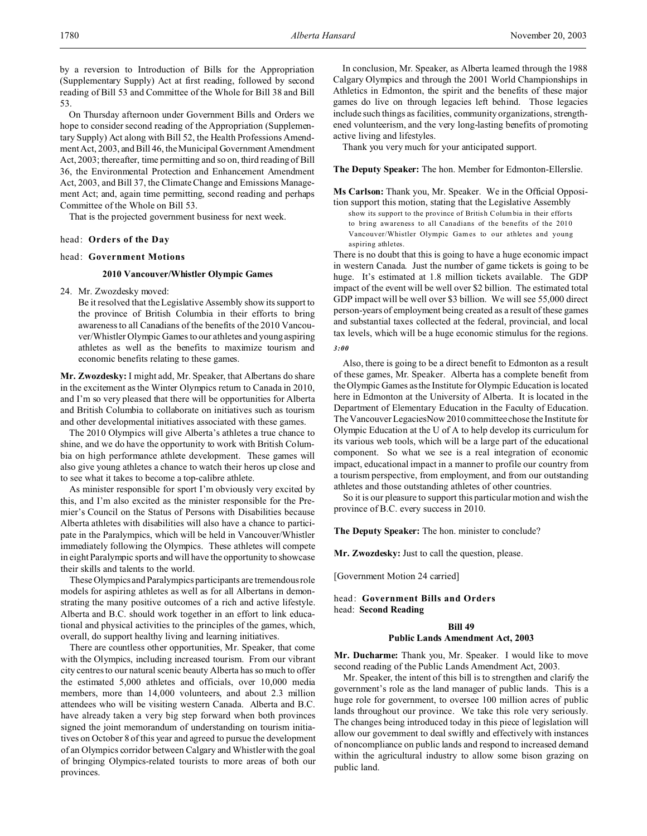by a reversion to Introduction of Bills for the Appropriation (Supplementary Supply) Act at first reading, followed by second reading of Bill 53 and Committee of the Whole for Bill 38 and Bill 53.

On Thursday afternoon under Government Bills and Orders we hope to consider second reading of the Appropriation (Supplementary Supply) Act along with Bill 52, the Health Professions Amendment Act, 2003, and Bill 46, the Municipal Government Amendment Act, 2003; thereafter, time permitting and so on, third reading of Bill 36, the Environmental Protection and Enhancement Amendment Act, 2003, and Bill 37, the Climate Change and Emissions Management Act; and, again time permitting, second reading and perhaps Committee of the Whole on Bill 53.

That is the projected government business for next week.

### head: **Orders of the Day**

### head: **Government Motions**

# **2010 Vancouver/Whistler Olympic Games**

24. Mr. Zwozdesky moved:

Be it resolved that the Legislative Assembly show its support to the province of British Columbia in their efforts to bring awareness to all Canadians of the benefits of the 2010 Vancouver/Whistler Olympic Games to our athletes and young aspiring athletes as well as the benefits to maximize tourism and economic benefits relating to these games.

**Mr. Zwozdesky:** I might add, Mr. Speaker, that Albertans do share in the excitement as the Winter Olympics return to Canada in 2010, and I'm so very pleased that there will be opportunities for Alberta and British Columbia to collaborate on initiatives such as tourism and other developmental initiatives associated with these games.

The 2010 Olympics will give Alberta's athletes a true chance to shine, and we do have the opportunity to work with British Columbia on high performance athlete development. These games will also give young athletes a chance to watch their heros up close and to see what it takes to become a top-calibre athlete.

As minister responsible for sport I'm obviously very excited by this, and I'm also excited as the minister responsible for the Premier's Council on the Status of Persons with Disabilities because Alberta athletes with disabilities will also have a chance to participate in the Paralympics, which will be held in Vancouver/Whistler immediately following the Olympics. These athletes will compete in eight Paralympic sports and will have the opportunity to showcase their skills and talents to the world.

These Olympics and Paralympics participants are tremendous role models for aspiring athletes as well as for all Albertans in demonstrating the many positive outcomes of a rich and active lifestyle. Alberta and B.C. should work together in an effort to link educational and physical activities to the principles of the games, which, overall, do support healthy living and learning initiatives.

There are countless other opportunities, Mr. Speaker, that come with the Olympics, including increased tourism. From our vibrant city centres to our natural scenic beauty Alberta has so much to offer the estimated 5,000 athletes and officials, over 10,000 media members, more than 14,000 volunteers, and about 2.3 million attendees who will be visiting western Canada. Alberta and B.C. have already taken a very big step forward when both provinces signed the joint memorandum of understanding on tourism initiatives on October 8 of this year and agreed to pursue the development of an Olympics corridor between Calgary and Whistler with the goal of bringing Olympics-related tourists to more areas of both our provinces.

In conclusion, Mr. Speaker, as Alberta learned through the 1988 Calgary Olympics and through the 2001 World Championships in Athletics in Edmonton, the spirit and the benefits of these major games do live on through legacies left behind. Those legacies include such things as facilities, community organizations, strengthened volunteerism, and the very long-lasting benefits of promoting active living and lifestyles.

Thank you very much for your anticipated support.

**The Deputy Speaker:** The hon. Member for Edmonton-Ellerslie.

**Ms Carlson:** Thank you, Mr. Speaker. We in the Official Opposi-

tion support this motion, stating that the Legislative Assembly show its support to the province of British Columbia in their efforts to bring awareness to all Canadians of the benefits of the 2010 Vancouver/Whistler Olympic Games to our athletes and young aspiring athletes.

There is no doubt that this is going to have a huge economic impact in western Canada. Just the number of game tickets is going to be huge. It's estimated at 1.8 million tickets available. The GDP impact of the event will be well over \$2 billion. The estimated total GDP impact will be well over \$3 billion. We will see 55,000 direct person-years of employment being created as a result of these games and substantial taxes collected at the federal, provincial, and local tax levels, which will be a huge economic stimulus for the regions. *3:00*

Also, there is going to be a direct benefit to Edmonton as a result of these games, Mr. Speaker. Alberta has a complete benefit from the Olympic Games as the Institute for Olympic Education is located here in Edmonton at the University of Alberta. It is located in the Department of Elementary Education in the Faculty of Education. The Vancouver LegaciesNow 2010 committee chose the Institute for Olympic Education at the U of A to help develop its curriculum for its various web tools, which will be a large part of the educational component. So what we see is a real integration of economic impact, educational impact in a manner to profile our country from a tourism perspective, from employment, and from our outstanding athletes and those outstanding athletes of other countries.

So it is our pleasure to support this particular motion and wish the province of B.C. every success in 2010.

**The Deputy Speaker:** The hon. minister to conclude?

**Mr. Zwozdesky:** Just to call the question, please.

[Government Motion 24 carried]

head: **Government Bills and Orders** head: **Second Reading**

# **Bill 49 Public Lands Amendment Act, 2003**

**Mr. Ducharme:** Thank you, Mr. Speaker. I would like to move second reading of the Public Lands Amendment Act, 2003.

Mr. Speaker, the intent of this bill is to strengthen and clarify the government's role as the land manager of public lands. This is a huge role for government, to oversee 100 million acres of public lands throughout our province. We take this role very seriously. The changes being introduced today in this piece of legislation will allow our government to deal swiftly and effectively with instances of noncompliance on public lands and respond to increased demand within the agricultural industry to allow some bison grazing on public land.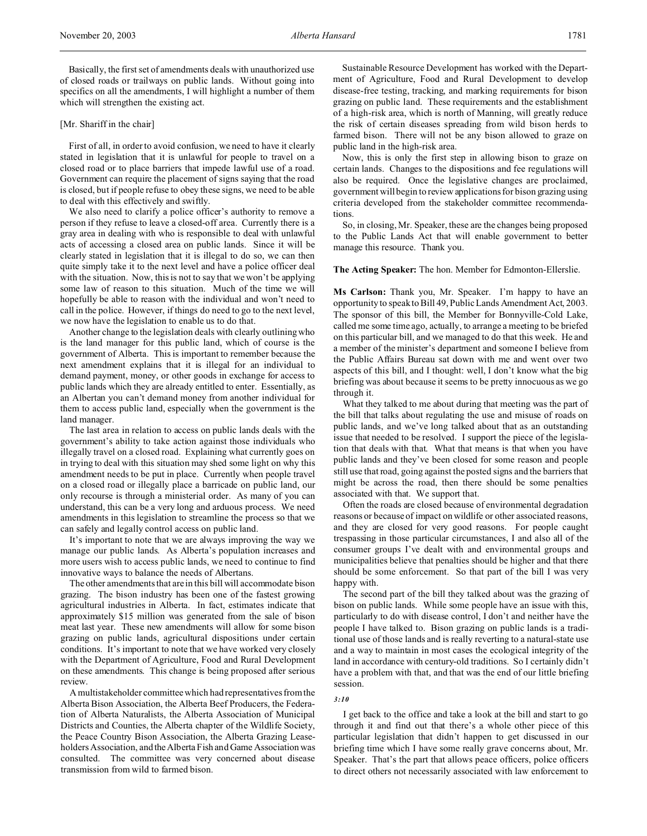#### [Mr. Shariff in the chair]

First of all, in order to avoid confusion, we need to have it clearly stated in legislation that it is unlawful for people to travel on a closed road or to place barriers that impede lawful use of a road. Government can require the placement of signs saying that the road is closed, but if people refuse to obey these signs, we need to be able to deal with this effectively and swiftly.

We also need to clarify a police officer's authority to remove a person if they refuse to leave a closed-off area. Currently there is a gray area in dealing with who is responsible to deal with unlawful acts of accessing a closed area on public lands. Since it will be clearly stated in legislation that it is illegal to do so, we can then quite simply take it to the next level and have a police officer deal with the situation. Now, this is not to say that we won't be applying some law of reason to this situation. Much of the time we will hopefully be able to reason with the individual and won't need to call in the police. However, if things do need to go to the next level, we now have the legislation to enable us to do that.

Another change to the legislation deals with clearly outlining who is the land manager for this public land, which of course is the government of Alberta. This is important to remember because the next amendment explains that it is illegal for an individual to demand payment, money, or other goods in exchange for access to public lands which they are already entitled to enter. Essentially, as an Albertan you can't demand money from another individual for them to access public land, especially when the government is the land manager.

The last area in relation to access on public lands deals with the government's ability to take action against those individuals who illegally travel on a closed road. Explaining what currently goes on in trying to deal with this situation may shed some light on why this amendment needs to be put in place. Currently when people travel on a closed road or illegally place a barricade on public land, our only recourse is through a ministerial order. As many of you can understand, this can be a very long and arduous process. We need amendments in this legislation to streamline the process so that we can safely and legally control access on public land.

It's important to note that we are always improving the way we manage our public lands. As Alberta's population increases and more users wish to access public lands, we need to continue to find innovative ways to balance the needs of Albertans.

The other amendments that are in this bill will accommodate bison grazing. The bison industry has been one of the fastest growing agricultural industries in Alberta. In fact, estimates indicate that approximately \$15 million was generated from the sale of bison meat last year. These new amendments will allow for some bison grazing on public lands, agricultural dispositions under certain conditions. It's important to note that we have worked very closely with the Department of Agriculture, Food and Rural Development on these amendments. This change is being proposed after serious review.

A multistakeholder committee which had representatives from the Alberta Bison Association, the Alberta Beef Producers, the Federation of Alberta Naturalists, the Alberta Association of Municipal Districts and Counties, the Alberta chapter of the Wildlife Society, the Peace Country Bison Association, the Alberta Grazing Leaseholders Association, and the Alberta Fish and Game Association was consulted. The committee was very concerned about disease transmission from wild to farmed bison.

Sustainable Resource Development has worked with the Department of Agriculture, Food and Rural Development to develop disease-free testing, tracking, and marking requirements for bison grazing on public land. These requirements and the establishment of a high-risk area, which is north of Manning, will greatly reduce the risk of certain diseases spreading from wild bison herds to farmed bison. There will not be any bison allowed to graze on public land in the high-risk area.

Now, this is only the first step in allowing bison to graze on certain lands. Changes to the dispositions and fee regulations will also be required. Once the legislative changes are proclaimed, government will begin to review applications for bison grazing using criteria developed from the stakeholder committee recommendations.

So, in closing, Mr. Speaker, these are the changes being proposed to the Public Lands Act that will enable government to better manage this resource. Thank you.

### **The Acting Speaker:** The hon. Member for Edmonton-Ellerslie.

**Ms Carlson:** Thank you, Mr. Speaker. I'm happy to have an opportunity to speak to Bill 49, Public Lands Amendment Act, 2003. The sponsor of this bill, the Member for Bonnyville-Cold Lake, called me some time ago, actually, to arrange a meeting to be briefed on this particular bill, and we managed to do that this week. He and a member of the minister's department and someone I believe from the Public Affairs Bureau sat down with me and went over two aspects of this bill, and I thought: well, I don't know what the big briefing was about because it seems to be pretty innocuous as we go through it.

What they talked to me about during that meeting was the part of the bill that talks about regulating the use and misuse of roads on public lands, and we've long talked about that as an outstanding issue that needed to be resolved. I support the piece of the legislation that deals with that. What that means is that when you have public lands and they've been closed for some reason and people still use that road, going against the posted signs and the barriers that might be across the road, then there should be some penalties associated with that. We support that.

Often the roads are closed because of environmental degradation reasons or because of impact on wildlife or other associated reasons, and they are closed for very good reasons. For people caught trespassing in those particular circumstances, I and also all of the consumer groups I've dealt with and environmental groups and municipalities believe that penalties should be higher and that there should be some enforcement. So that part of the bill I was very happy with.

The second part of the bill they talked about was the grazing of bison on public lands. While some people have an issue with this, particularly to do with disease control, I don't and neither have the people I have talked to. Bison grazing on public lands is a traditional use of those lands and is really reverting to a natural-state use and a way to maintain in most cases the ecological integrity of the land in accordance with century-old traditions. So I certainly didn't have a problem with that, and that was the end of our little briefing session.

#### *3:10*

I get back to the office and take a look at the bill and start to go through it and find out that there's a whole other piece of this particular legislation that didn't happen to get discussed in our briefing time which I have some really grave concerns about, Mr. Speaker. That's the part that allows peace officers, police officers to direct others not necessarily associated with law enforcement to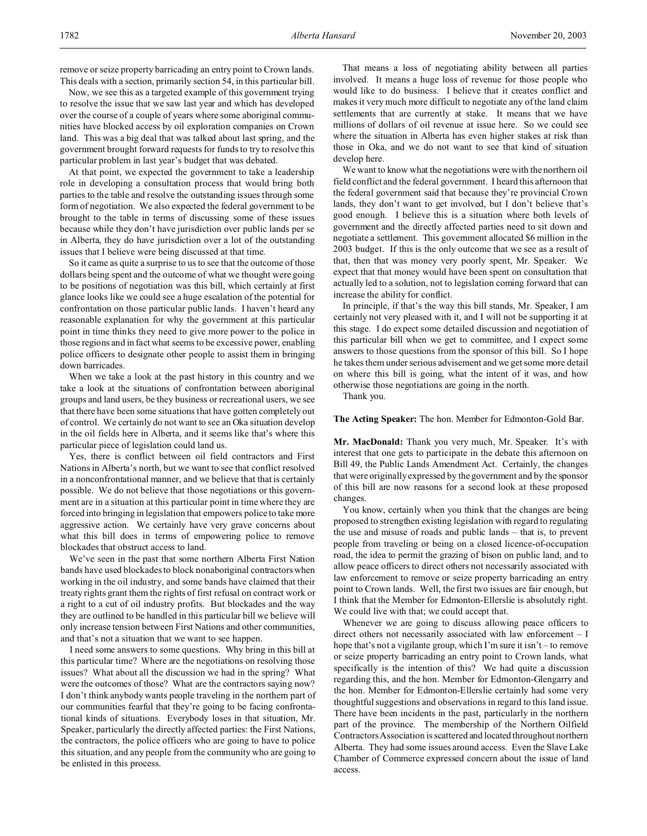remove or seize property barricading an entry point to Crown lands. This deals with a section, primarily section 54, in this particular bill.

Now, we see this as a targeted example of this government trying to resolve the issue that we saw last year and which has developed over the course of a couple of years where some aboriginal communities have blocked access by oil exploration companies on Crown land. This was a big deal that was talked about last spring, and the government brought forward requests for funds to try to resolve this particular problem in last year's budget that was debated.

At that point, we expected the government to take a leadership role in developing a consultation process that would bring both parties to the table and resolve the outstanding issues through some form of negotiation. We also expected the federal government to be brought to the table in terms of discussing some of these issues because while they don't have jurisdiction over public lands per se in Alberta, they do have jurisdiction over a lot of the outstanding issues that I believe were being discussed at that time.

So it came as quite a surprise to us to see that the outcome of those dollars being spent and the outcome of what we thought were going to be positions of negotiation was this bill, which certainly at first glance looks like we could see a huge escalation of the potential for confrontation on those particular public lands. I haven't heard any reasonable explanation for why the government at this particular point in time thinks they need to give more power to the police in those regions and in fact what seems to be excessive power, enabling police officers to designate other people to assist them in bringing down barricades.

When we take a look at the past history in this country and we take a look at the situations of confrontation between aboriginal groups and land users, be they business or recreational users, we see that there have been some situations that have gotten completely out of control. We certainly do not want to see an Oka situation develop in the oil fields here in Alberta, and it seems like that's where this particular piece of legislation could land us.

Yes, there is conflict between oil field contractors and First Nations in Alberta's north, but we want to see that conflict resolved in a nonconfrontational manner, and we believe that that is certainly possible. We do not believe that those negotiations or this government are in a situation at this particular point in time where they are forced into bringing in legislation that empowers police to take more aggressive action. We certainly have very grave concerns about what this bill does in terms of empowering police to remove blockades that obstruct access to land.

We've seen in the past that some northern Alberta First Nation bands have used blockades to block nonaboriginal contractors when working in the oil industry, and some bands have claimed that their treaty rights grant them the rights of first refusal on contract work or a right to a cut of oil industry profits. But blockades and the way they are outlined to be handled in this particular bill we believe will only increase tension between First Nations and other communities, and that's not a situation that we want to see happen.

I need some answers to some questions. Why bring in this bill at this particular time? Where are the negotiations on resolving those issues? What about all the discussion we had in the spring? What were the outcomes of those? What are the contractors saying now? I don't think anybody wants people traveling in the northern part of our communities fearful that they're going to be facing confrontational kinds of situations. Everybody loses in that situation, Mr. Speaker, particularly the directly affected parties: the First Nations, the contractors, the police officers who are going to have to police this situation, and any people from the community who are going to be enlisted in this process.

That means a loss of negotiating ability between all parties involved. It means a huge loss of revenue for those people who would like to do business. I believe that it creates conflict and makes it very much more difficult to negotiate any of the land claim settlements that are currently at stake. It means that we have millions of dollars of oil revenue at issue here. So we could see where the situation in Alberta has even higher stakes at risk than those in Oka, and we do not want to see that kind of situation develop here.

We want to know what the negotiations were with the northern oil field conflict and the federal government. I heard this afternoon that the federal government said that because they're provincial Crown lands, they don't want to get involved, but I don't believe that's good enough. I believe this is a situation where both levels of government and the directly affected parties need to sit down and negotiate a settlement. This government allocated \$6 million in the 2003 budget. If this is the only outcome that we see as a result of that, then that was money very poorly spent, Mr. Speaker. We expect that that money would have been spent on consultation that actually led to a solution, not to legislation coming forward that can increase the ability for conflict.

In principle, if that's the way this bill stands, Mr. Speaker, I am certainly not very pleased with it, and I will not be supporting it at this stage. I do expect some detailed discussion and negotiation of this particular bill when we get to committee, and I expect some answers to those questions from the sponsor of this bill. So I hope he takes them under serious advisement and we get some more detail on where this bill is going, what the intent of it was, and how otherwise those negotiations are going in the north.

Thank you.

**The Acting Speaker:** The hon. Member for Edmonton-Gold Bar.

**Mr. MacDonald:** Thank you very much, Mr. Speaker. It's with interest that one gets to participate in the debate this afternoon on Bill 49, the Public Lands Amendment Act. Certainly, the changes that were originally expressed by the government and by the sponsor of this bill are now reasons for a second look at these proposed changes.

You know, certainly when you think that the changes are being proposed to strengthen existing legislation with regard to regulating the use and misuse of roads and public lands – that is, to prevent people from traveling or being on a closed licence-of-occupation road, the idea to permit the grazing of bison on public land, and to allow peace officers to direct others not necessarily associated with law enforcement to remove or seize property barricading an entry point to Crown lands. Well, the first two issues are fair enough, but I think that the Member for Edmonton-Ellerslie is absolutely right. We could live with that; we could accept that.

Whenever we are going to discuss allowing peace officers to direct others not necessarily associated with law enforcement – I hope that's not a vigilante group, which I'm sure it isn't – to remove or seize property barricading an entry point to Crown lands, what specifically is the intention of this? We had quite a discussion regarding this, and the hon. Member for Edmonton-Glengarry and the hon. Member for Edmonton-Ellerslie certainly had some very thoughtful suggestions and observations in regard to this land issue. There have been incidents in the past, particularly in the northern part of the province. The membership of the Northern Oilfield Contractors Association is scattered and located throughout northern Alberta. They had some issues around access. Even the Slave Lake Chamber of Commerce expressed concern about the issue of land access.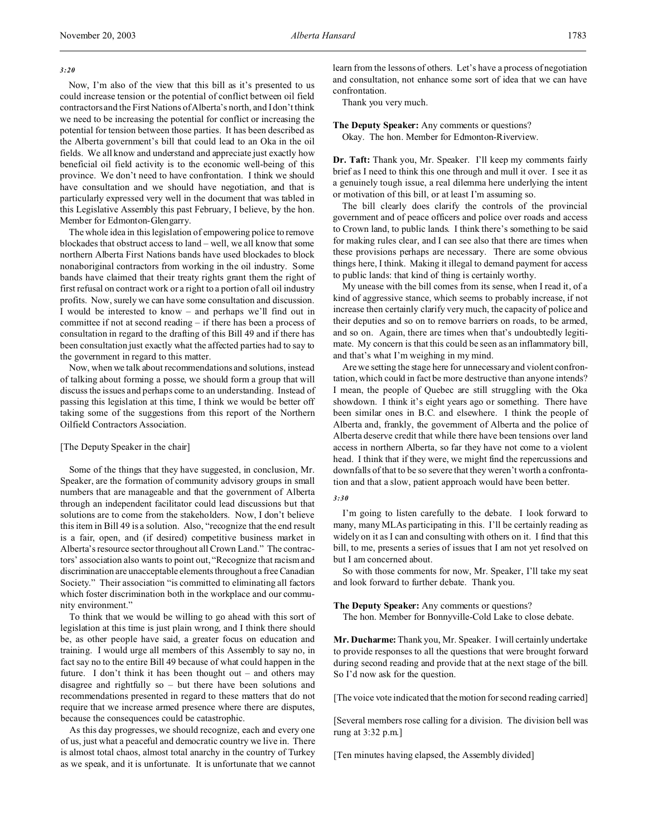Now, I'm also of the view that this bill as it's presented to us could increase tension or the potential of conflict between oil field contractors and the First Nations of Alberta's north, and I don't think we need to be increasing the potential for conflict or increasing the potential for tension between those parties. It has been described as the Alberta government's bill that could lead to an Oka in the oil fields. We all know and understand and appreciate just exactly how beneficial oil field activity is to the economic well-being of this province. We don't need to have confrontation. I think we should have consultation and we should have negotiation, and that is particularly expressed very well in the document that was tabled in this Legislative Assembly this past February, I believe, by the hon. Member for Edmonton-Glengarry.

The whole idea in this legislation of empowering police to remove blockades that obstruct access to land – well, we all know that some northern Alberta First Nations bands have used blockades to block nonaboriginal contractors from working in the oil industry. Some bands have claimed that their treaty rights grant them the right of first refusal on contract work or a right to a portion of all oil industry profits. Now, surely we can have some consultation and discussion. I would be interested to know – and perhaps we'll find out in committee if not at second reading – if there has been a process of consultation in regard to the drafting of this Bill 49 and if there has been consultation just exactly what the affected parties had to say to the government in regard to this matter.

Now, when we talk about recommendations and solutions, instead of talking about forming a posse, we should form a group that will discuss the issues and perhaps come to an understanding. Instead of passing this legislation at this time, I think we would be better off taking some of the suggestions from this report of the Northern Oilfield Contractors Association.

#### [The Deputy Speaker in the chair]

Some of the things that they have suggested, in conclusion, Mr. Speaker, are the formation of community advisory groups in small numbers that are manageable and that the government of Alberta through an independent facilitator could lead discussions but that solutions are to come from the stakeholders. Now, I don't believe this item in Bill 49 is a solution. Also, "recognize that the end result is a fair, open, and (if desired) competitive business market in Alberta's resource sector throughout all Crown Land." The contractors' association also wants to point out, "Recognize that racism and discrimination are unacceptable elements throughout a free Canadian Society." Their association "is committed to eliminating all factors which foster discrimination both in the workplace and our community environment."

To think that we would be willing to go ahead with this sort of legislation at this time is just plain wrong, and I think there should be, as other people have said, a greater focus on education and training. I would urge all members of this Assembly to say no, in fact say no to the entire Bill 49 because of what could happen in the future. I don't think it has been thought out – and others may disagree and rightfully so – but there have been solutions and recommendations presented in regard to these matters that do not require that we increase armed presence where there are disputes, because the consequences could be catastrophic.

As this day progresses, we should recognize, each and every one of us, just what a peaceful and democratic country we live in. There is almost total chaos, almost total anarchy in the country of Turkey as we speak, and it is unfortunate. It is unfortunate that we cannot learn from the lessons of others. Let's have a process of negotiation and consultation, not enhance some sort of idea that we can have confrontation.

Thank you very much.

**The Deputy Speaker:** Any comments or questions? Okay. The hon. Member for Edmonton-Riverview.

**Dr. Taft:** Thank you, Mr. Speaker. I'll keep my comments fairly brief as I need to think this one through and mull it over. I see it as a genuinely tough issue, a real dilemma here underlying the intent or motivation of this bill, or at least I'm assuming so.

The bill clearly does clarify the controls of the provincial government and of peace officers and police over roads and access to Crown land, to public lands. I think there's something to be said for making rules clear, and I can see also that there are times when these provisions perhaps are necessary. There are some obvious things here, I think. Making it illegal to demand payment for access to public lands: that kind of thing is certainly worthy.

My unease with the bill comes from its sense, when I read it, of a kind of aggressive stance, which seems to probably increase, if not increase then certainly clarify very much, the capacity of police and their deputies and so on to remove barriers on roads, to be armed, and so on. Again, there are times when that's undoubtedly legitimate. My concern is that this could be seen as an inflammatory bill, and that's what I'm weighing in my mind.

Are we setting the stage here for unnecessary and violent confrontation, which could in fact be more destructive than anyone intends? I mean, the people of Quebec are still struggling with the Oka showdown. I think it's eight years ago or something. There have been similar ones in B.C. and elsewhere. I think the people of Alberta and, frankly, the government of Alberta and the police of Alberta deserve credit that while there have been tensions over land access in northern Alberta, so far they have not come to a violent head. I think that if they were, we might find the repercussions and downfalls of that to be so severe that they weren't worth a confrontation and that a slow, patient approach would have been better.

### *3:30*

I'm going to listen carefully to the debate. I look forward to many, many MLAs participating in this. I'll be certainly reading as widely on it as I can and consulting with others on it. I find that this bill, to me, presents a series of issues that I am not yet resolved on but I am concerned about.

So with those comments for now, Mr. Speaker, I'll take my seat and look forward to further debate. Thank you.

**The Deputy Speaker:** Any comments or questions?

The hon. Member for Bonnyville-Cold Lake to close debate.

**Mr. Ducharme:** Thank you, Mr. Speaker. I will certainly undertake to provide responses to all the questions that were brought forward during second reading and provide that at the next stage of the bill. So I'd now ask for the question.

[The voice vote indicated that the motion for second reading carried]

[Several members rose calling for a division. The division bell was rung at 3:32 p.m.]

[Ten minutes having elapsed, the Assembly divided]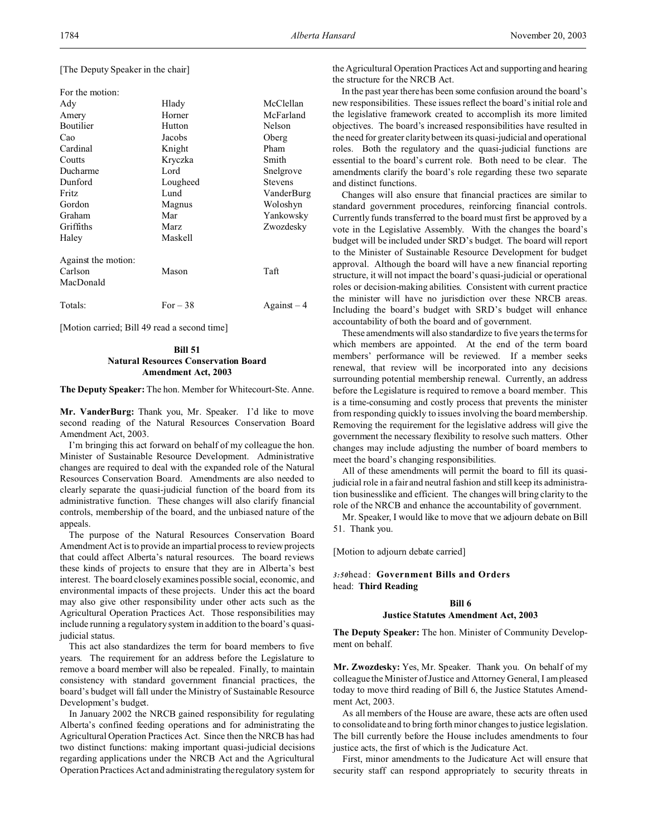[The Deputy Speaker in the chair]

| For the motion:     |               |                |
|---------------------|---------------|----------------|
| Ady                 | Hlady         | McClellan      |
| Amery               | Horner        | McFarland      |
| Boutilier           | <b>Hutton</b> | Nelson         |
| Cao                 | Jacobs        | Oberg          |
| Cardinal            | Knight        | Pham           |
| Coutts              | Kryczka       | Smith          |
| Ducharme            | Lord          | Snelgrove      |
| Dunford             | Lougheed      | <b>Stevens</b> |
| <b>Fritz</b>        | Lund          | VanderBurg     |
| Gordon              | Magnus        | Woloshyn       |
| Graham              | Mar           | Yankowsky      |
| Griffiths           | <b>Marz</b>   | Zwozdesky      |
| Haley               | Maskell       |                |
| Against the motion: |               |                |
| Carlson             | Mason         | Taft           |
| MacDonald           |               |                |
| Totals:             | For $-38$     | $Against-4$    |

[Motion carried; Bill 49 read a second time]

# **Bill 51 Natural Resources Conservation Board Amendment Act, 2003**

**The Deputy Speaker:** The hon. Member for Whitecourt-Ste. Anne.

**Mr. VanderBurg:** Thank you, Mr. Speaker. I'd like to move second reading of the Natural Resources Conservation Board Amendment Act, 2003.

I'm bringing this act forward on behalf of my colleague the hon. Minister of Sustainable Resource Development. Administrative changes are required to deal with the expanded role of the Natural Resources Conservation Board. Amendments are also needed to clearly separate the quasi-judicial function of the board from its administrative function. These changes will also clarify financial controls, membership of the board, and the unbiased nature of the appeals.

The purpose of the Natural Resources Conservation Board Amendment Act is to provide an impartial process to review projects that could affect Alberta's natural resources. The board reviews these kinds of projects to ensure that they are in Alberta's best interest. The board closely examines possible social, economic, and environmental impacts of these projects. Under this act the board may also give other responsibility under other acts such as the Agricultural Operation Practices Act. Those responsibilities may include running a regulatory system in addition to the board's quasijudicial status.

This act also standardizes the term for board members to five years. The requirement for an address before the Legislature to remove a board member will also be repealed. Finally, to maintain consistency with standard government financial practices, the board's budget will fall under the Ministry of Sustainable Resource Development's budget.

In January 2002 the NRCB gained responsibility for regulating Alberta's confined feeding operations and for administrating the Agricultural Operation Practices Act. Since then the NRCB has had two distinct functions: making important quasi-judicial decisions regarding applications under the NRCB Act and the Agricultural Operation Practices Act and administrating the regulatory system for

the Agricultural Operation Practices Act and supporting and hearing the structure for the NRCB Act.

In the past year there has been some confusion around the board's new responsibilities. These issues reflect the board's initial role and the legislative framework created to accomplish its more limited objectives. The board's increased responsibilities have resulted in the need for greater clarity between its quasi-judicial and operational roles. Both the regulatory and the quasi-judicial functions are essential to the board's current role. Both need to be clear. The amendments clarify the board's role regarding these two separate and distinct functions.

Changes will also ensure that financial practices are similar to standard government procedures, reinforcing financial controls. Currently funds transferred to the board must first be approved by a vote in the Legislative Assembly. With the changes the board's budget will be included under SRD's budget. The board will report to the Minister of Sustainable Resource Development for budget approval. Although the board will have a new financial reporting structure, it will not impact the board's quasi-judicial or operational roles or decision-making abilities. Consistent with current practice the minister will have no jurisdiction over these NRCB areas. Including the board's budget with SRD's budget will enhance accountability of both the board and of government.

These amendments will also standardize to five years the terms for which members are appointed. At the end of the term board members' performance will be reviewed. If a member seeks renewal, that review will be incorporated into any decisions surrounding potential membership renewal. Currently, an address before the Legislature is required to remove a board member. This is a time-consuming and costly process that prevents the minister from responding quickly to issues involving the board membership. Removing the requirement for the legislative address will give the government the necessary flexibility to resolve such matters. Other changes may include adjusting the number of board members to meet the board's changing responsibilities.

All of these amendments will permit the board to fill its quasijudicial role in a fair and neutral fashion and still keep its administration businesslike and efficient. The changes will bring clarity to the role of the NRCB and enhance the accountability of government.

Mr. Speaker, I would like to move that we adjourn debate on Bill 51. Thank you.

[Motion to adjourn debate carried]

*3:50*head: **Government Bills and Orders** head: **Third Reading**

# **Bill 6**

### **Justice Statutes Amendment Act, 2003**

**The Deputy Speaker:** The hon. Minister of Community Development on behalf.

**Mr. Zwozdesky:** Yes, Mr. Speaker. Thank you. On behalf of my colleague the Minister of Justice and Attorney General, I am pleased today to move third reading of Bill 6, the Justice Statutes Amendment Act, 2003.

As all members of the House are aware, these acts are often used to consolidate and to bring forth minor changes to justice legislation. The bill currently before the House includes amendments to four justice acts, the first of which is the Judicature Act.

First, minor amendments to the Judicature Act will ensure that security staff can respond appropriately to security threats in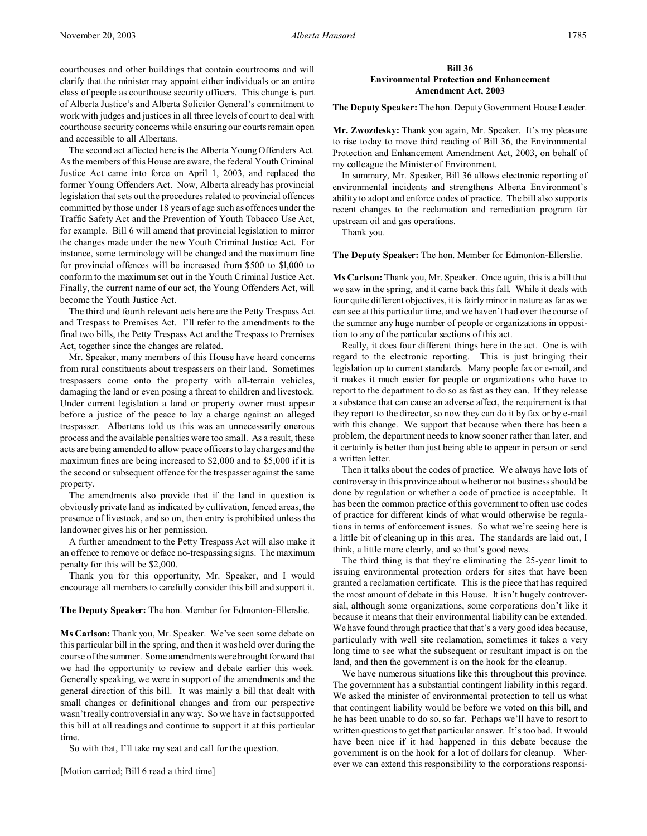courthouses and other buildings that contain courtrooms and will clarify that the minister may appoint either individuals or an entire class of people as courthouse security officers. This change is part of Alberta Justice's and Alberta Solicitor General's commitment to work with judges and justices in all three levels of court to deal with courthouse security concerns while ensuring our courts remain open and accessible to all Albertans.

The second act affected here is the Alberta Young Offenders Act. As the members of this House are aware, the federal Youth Criminal Justice Act came into force on April 1, 2003, and replaced the former Young Offenders Act. Now, Alberta already has provincial legislation that sets out the procedures related to provincial offences committed by those under 18 years of age such as offences under the Traffic Safety Act and the Prevention of Youth Tobacco Use Act, for example. Bill 6 will amend that provincial legislation to mirror the changes made under the new Youth Criminal Justice Act. For instance, some terminology will be changed and the maximum fine for provincial offences will be increased from \$500 to \$l,000 to conform to the maximum set out in the Youth Criminal Justice Act. Finally, the current name of our act, the Young Offenders Act, will become the Youth Justice Act.

The third and fourth relevant acts here are the Petty Trespass Act and Trespass to Premises Act. I'll refer to the amendments to the final two bills, the Petty Trespass Act and the Trespass to Premises Act, together since the changes are related.

Mr. Speaker, many members of this House have heard concerns from rural constituents about trespassers on their land. Sometimes trespassers come onto the property with all-terrain vehicles, damaging the land or even posing a threat to children and livestock. Under current legislation a land or property owner must appear before a justice of the peace to lay a charge against an alleged trespasser. Albertans told us this was an unnecessarily onerous process and the available penalties were too small. As a result, these acts are being amended to allow peace officers to lay charges and the maximum fines are being increased to \$2,000 and to \$5,000 if it is the second or subsequent offence for the trespasser against the same property.

The amendments also provide that if the land in question is obviously private land as indicated by cultivation, fenced areas, the presence of livestock, and so on, then entry is prohibited unless the landowner gives his or her permission.

A further amendment to the Petty Trespass Act will also make it an offence to remove or deface no-trespassing signs. The maximum penalty for this will be \$2,000.

Thank you for this opportunity, Mr. Speaker, and I would encourage all members to carefully consider this bill and support it.

### **The Deputy Speaker:** The hon. Member for Edmonton-Ellerslie.

**Ms Carlson:** Thank you, Mr. Speaker. We've seen some debate on this particular bill in the spring, and then it was held over during the course of the summer. Some amendments were brought forward that we had the opportunity to review and debate earlier this week. Generally speaking, we were in support of the amendments and the general direction of this bill. It was mainly a bill that dealt with small changes or definitional changes and from our perspective wasn't really controversial in any way. So we have in fact supported this bill at all readings and continue to support it at this particular time.

So with that, I'll take my seat and call for the question.

[Motion carried; Bill 6 read a third time]

# **Bill 36 Environmental Protection and Enhancement Amendment Act, 2003**

**The Deputy Speaker:** The hon. Deputy Government House Leader.

**Mr. Zwozdesky:** Thank you again, Mr. Speaker. It's my pleasure to rise today to move third reading of Bill 36, the Environmental Protection and Enhancement Amendment Act, 2003, on behalf of my colleague the Minister of Environment.

In summary, Mr. Speaker, Bill 36 allows electronic reporting of environmental incidents and strengthens Alberta Environment's ability to adopt and enforce codes of practice. The bill also supports recent changes to the reclamation and remediation program for upstream oil and gas operations.

Thank you.

**The Deputy Speaker:** The hon. Member for Edmonton-Ellerslie.

**Ms Carlson:** Thank you, Mr. Speaker. Once again, this is a bill that we saw in the spring, and it came back this fall. While it deals with four quite different objectives, it is fairly minor in nature as far as we can see at this particular time, and we haven't had over the course of the summer any huge number of people or organizations in opposition to any of the particular sections of this act.

Really, it does four different things here in the act. One is with regard to the electronic reporting. This is just bringing their legislation up to current standards. Many people fax or e-mail, and it makes it much easier for people or organizations who have to report to the department to do so as fast as they can. If they release a substance that can cause an adverse affect, the requirement is that they report to the director, so now they can do it by fax or by e-mail with this change. We support that because when there has been a problem, the department needs to know sooner rather than later, and it certainly is better than just being able to appear in person or send a written letter.

Then it talks about the codes of practice. We always have lots of controversy in this province about whether or not business should be done by regulation or whether a code of practice is acceptable. It has been the common practice of this government to often use codes of practice for different kinds of what would otherwise be regulations in terms of enforcement issues. So what we're seeing here is a little bit of cleaning up in this area. The standards are laid out, I think, a little more clearly, and so that's good news.

The third thing is that they're eliminating the 25-year limit to issuing environmental protection orders for sites that have been granted a reclamation certificate. This is the piece that has required the most amount of debate in this House. It isn't hugely controversial, although some organizations, some corporations don't like it because it means that their environmental liability can be extended. We have found through practice that that's a very good idea because, particularly with well site reclamation, sometimes it takes a very long time to see what the subsequent or resultant impact is on the land, and then the government is on the hook for the cleanup.

We have numerous situations like this throughout this province. The government has a substantial contingent liability in this regard. We asked the minister of environmental protection to tell us what that contingent liability would be before we voted on this bill, and he has been unable to do so, so far. Perhaps we'll have to resort to written questions to get that particular answer. It's too bad. It would have been nice if it had happened in this debate because the government is on the hook for a lot of dollars for cleanup. Wherever we can extend this responsibility to the corporations responsi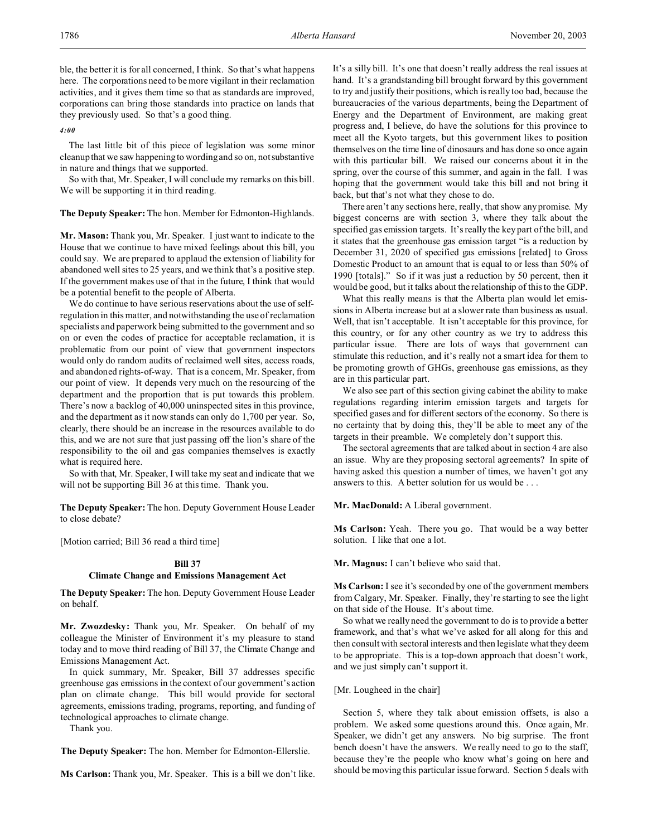ble, the better it is for all concerned, I think. So that's what happens here. The corporations need to be more vigilant in their reclamation activities, and it gives them time so that as standards are improved, corporations can bring those standards into practice on lands that they previously used. So that's a good thing.

*4:00*

The last little bit of this piece of legislation was some minor cleanup that we saw happening to wording and so on, not substantive in nature and things that we supported.

So with that, Mr. Speaker, I will conclude my remarks on this bill. We will be supporting it in third reading.

**The Deputy Speaker:** The hon. Member for Edmonton-Highlands.

**Mr. Mason:** Thank you, Mr. Speaker. I just want to indicate to the House that we continue to have mixed feelings about this bill, you could say. We are prepared to applaud the extension of liability for abandoned well sites to 25 years, and we think that's a positive step. If the government makes use of that in the future, I think that would be a potential benefit to the people of Alberta.

We do continue to have serious reservations about the use of selfregulation in this matter, and notwithstanding the use of reclamation specialists and paperwork being submitted to the government and so on or even the codes of practice for acceptable reclamation, it is problematic from our point of view that government inspectors would only do random audits of reclaimed well sites, access roads, and abandoned rights-of-way. That is a concern, Mr. Speaker, from our point of view. It depends very much on the resourcing of the department and the proportion that is put towards this problem. There's now a backlog of 40,000 uninspected sites in this province, and the department as it now stands can only do 1,700 per year. So, clearly, there should be an increase in the resources available to do this, and we are not sure that just passing off the lion's share of the responsibility to the oil and gas companies themselves is exactly what is required here.

So with that, Mr. Speaker, I will take my seat and indicate that we will not be supporting Bill 36 at this time. Thank you.

**The Deputy Speaker:** The hon. Deputy Government House Leader to close debate?

[Motion carried; Bill 36 read a third time]

#### **Bill 37**

## **Climate Change and Emissions Management Act**

**The Deputy Speaker:** The hon. Deputy Government House Leader on behalf.

**Mr. Zwozdesky:** Thank you, Mr. Speaker. On behalf of my colleague the Minister of Environment it's my pleasure to stand today and to move third reading of Bill 37, the Climate Change and Emissions Management Act.

In quick summary, Mr. Speaker, Bill 37 addresses specific greenhouse gas emissions in the context of our government's action plan on climate change. This bill would provide for sectoral agreements, emissions trading, programs, reporting, and funding of technological approaches to climate change.

Thank you.

**The Deputy Speaker:** The hon. Member for Edmonton-Ellerslie.

**Ms Carlson:** Thank you, Mr. Speaker. This is a bill we don't like.

It's a silly bill. It's one that doesn't really address the real issues at hand. It's a grandstanding bill brought forward by this government to try and justify their positions, which is really too bad, because the bureaucracies of the various departments, being the Department of Energy and the Department of Environment, are making great progress and, I believe, do have the solutions for this province to meet all the Kyoto targets, but this government likes to position themselves on the time line of dinosaurs and has done so once again with this particular bill. We raised our concerns about it in the spring, over the course of this summer, and again in the fall. I was hoping that the government would take this bill and not bring it back, but that's not what they chose to do.

There aren't any sections here, really, that show any promise. My biggest concerns are with section 3, where they talk about the specified gas emission targets. It's really the key part of the bill, and it states that the greenhouse gas emission target "is a reduction by December 31, 2020 of specified gas emissions [related] to Gross Domestic Product to an amount that is equal to or less than 50% of 1990 [totals]." So if it was just a reduction by 50 percent, then it would be good, but it talks about the relationship of this to the GDP.

What this really means is that the Alberta plan would let emissions in Alberta increase but at a slower rate than business as usual. Well, that isn't acceptable. It isn't acceptable for this province, for this country, or for any other country as we try to address this particular issue. There are lots of ways that government can stimulate this reduction, and it's really not a smart idea for them to be promoting growth of GHGs, greenhouse gas emissions, as they are in this particular part.

We also see part of this section giving cabinet the ability to make regulations regarding interim emission targets and targets for specified gases and for different sectors of the economy. So there is no certainty that by doing this, they'll be able to meet any of the targets in their preamble. We completely don't support this.

The sectoral agreements that are talked about in section 4 are also an issue. Why are they proposing sectoral agreements? In spite of having asked this question a number of times, we haven't got any answers to this. A better solution for us would be . . .

**Mr. MacDonald:** A Liberal government.

**Ms Carlson:** Yeah. There you go. That would be a way better solution. I like that one a lot.

**Mr. Magnus:** I can't believe who said that.

**Ms Carlson:** I see it's seconded by one of the government members from Calgary, Mr. Speaker. Finally, they're starting to see the light on that side of the House. It's about time.

So what we really need the government to do is to provide a better framework, and that's what we've asked for all along for this and then consult with sectoral interests and then legislate what they deem to be appropriate. This is a top-down approach that doesn't work, and we just simply can't support it.

[Mr. Lougheed in the chair]

Section 5, where they talk about emission offsets, is also a problem. We asked some questions around this. Once again, Mr. Speaker, we didn't get any answers. No big surprise. The front bench doesn't have the answers. We really need to go to the staff, because they're the people who know what's going on here and should be moving this particular issue forward. Section 5 deals with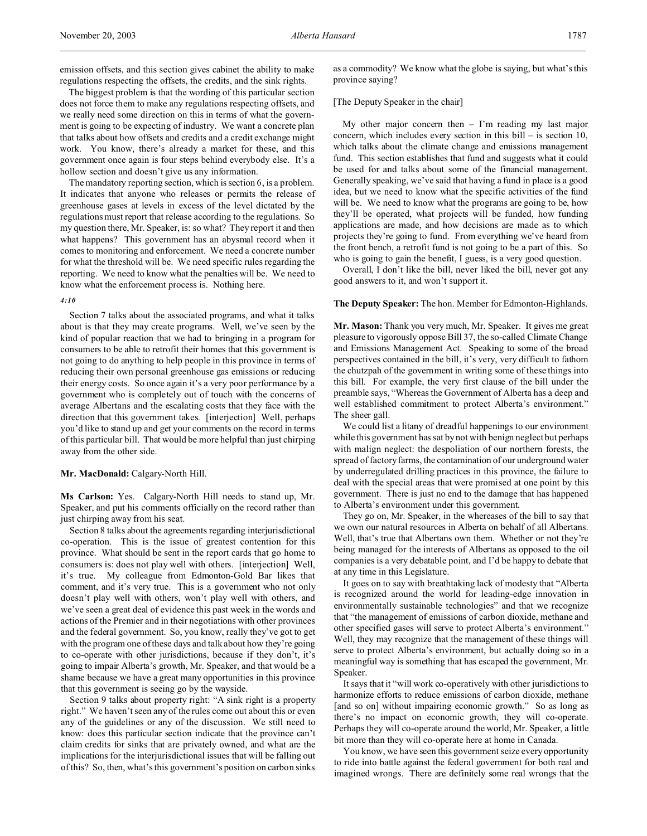The biggest problem is that the wording of this particular section does not force them to make any regulations respecting offsets, and we really need some direction on this in terms of what the government is going to be expecting of industry. We want a concrete plan that talks about how offsets and credits and a credit exchange might work. You know, there's already a market for these, and this government once again is four steps behind everybody else. It's a hollow section and doesn't give us any information.

The mandatory reporting section, which is section 6, is a problem. It indicates that anyone who releases or permits the release of greenhouse gases at levels in excess of the level dictated by the regulations must report that release according to the regulations. So my question there, Mr. Speaker, is: so what? They report it and then what happens? This government has an abysmal record when it comes to monitoring and enforcement. We need a concrete number for what the threshold will be. We need specific rules regarding the reporting. We need to know what the penalties will be. We need to know what the enforcement process is. Nothing here.

#### *4:10*

Section 7 talks about the associated programs, and what it talks about is that they may create programs. Well, we've seen by the kind of popular reaction that we had to bringing in a program for consumers to be able to retrofit their homes that this government is not going to do anything to help people in this province in terms of reducing their own personal greenhouse gas emissions or reducing their energy costs. So once again it's a very poor performance by a government who is completely out of touch with the concerns of average Albertans and the escalating costs that they face with the direction that this government takes. [interjection] Well, perhaps you'd like to stand up and get your comments on the record in terms of this particular bill. That would be more helpful than just chirping away from the other side.

#### **Mr. MacDonald:** Calgary-North Hill.

**Ms Carlson:** Yes. Calgary-North Hill needs to stand up, Mr. Speaker, and put his comments officially on the record rather than just chirping away from his seat.

Section 8 talks about the agreements regarding interjurisdictional co-operation. This is the issue of greatest contention for this province. What should be sent in the report cards that go home to consumers is: does not play well with others. [interjection] Well, it's true. My colleague from Edmonton-Gold Bar likes that comment, and it's very true. This is a government who not only doesn't play well with others, won't play well with others, and we've seen a great deal of evidence this past week in the words and actions of the Premier and in their negotiations with other provinces and the federal government. So, you know, really they've got to get with the program one of these days and talk about how they're going to co-operate with other jurisdictions, because if they don't, it's going to impair Alberta's growth, Mr. Speaker, and that would be a shame because we have a great many opportunities in this province that this government is seeing go by the wayside.

Section 9 talks about property right: "A sink right is a property right." We haven't seen any of the rules come out about this or even any of the guidelines or any of the discussion. We still need to know: does this particular section indicate that the province can't claim credits for sinks that are privately owned, and what are the implications for the interjurisdictional issues that will be falling out of this? So, then, what's this government's position on carbon sinks

as a commodity? We know what the globe is saying, but what's this province saying?

# [The Deputy Speaker in the chair]

My other major concern then  $-$  I'm reading my last major concern, which includes every section in this bill – is section 10, which talks about the climate change and emissions management fund. This section establishes that fund and suggests what it could be used for and talks about some of the financial management. Generally speaking, we've said that having a fund in place is a good idea, but we need to know what the specific activities of the fund will be. We need to know what the programs are going to be, how they'll be operated, what projects will be funded, how funding applications are made, and how decisions are made as to which projects they're going to fund. From everything we've heard from the front bench, a retrofit fund is not going to be a part of this. So who is going to gain the benefit, I guess, is a very good question.

Overall, I don't like the bill, never liked the bill, never got any good answers to it, and won't support it.

# **The Deputy Speaker:** The hon. Member for Edmonton-Highlands.

**Mr. Mason:** Thank you very much, Mr. Speaker. It gives me great pleasure to vigorously oppose Bill 37, the so-called Climate Change and Emissions Management Act. Speaking to some of the broad perspectives contained in the bill, it's very, very difficult to fathom the chutzpah of the government in writing some of these things into this bill. For example, the very first clause of the bill under the preamble says, "Whereas the Government of Alberta has a deep and well established commitment to protect Alberta's environment." The sheer gall.

We could list a litany of dreadful happenings to our environment while this government has sat by not with benign neglect but perhaps with malign neglect: the despoliation of our northern forests, the spread of factory farms, the contamination of our underground water by underregulated drilling practices in this province, the failure to deal with the special areas that were promised at one point by this government. There is just no end to the damage that has happened to Alberta's environment under this government.

They go on, Mr. Speaker, in the whereases of the bill to say that we own our natural resources in Alberta on behalf of all Albertans. Well, that's true that Albertans own them. Whether or not they're being managed for the interests of Albertans as opposed to the oil companies is a very debatable point, and I'd be happy to debate that at any time in this Legislature.

It goes on to say with breathtaking lack of modesty that "Alberta is recognized around the world for leading-edge innovation in environmentally sustainable technologies" and that we recognize that "the management of emissions of carbon dioxide, methane and other specified gases will serve to protect Alberta's environment." Well, they may recognize that the management of these things will serve to protect Alberta's environment, but actually doing so in a meaningful way is something that has escaped the government, Mr. Speaker.

It says that it "will work co-operatively with other jurisdictions to harmonize efforts to reduce emissions of carbon dioxide, methane [and so on] without impairing economic growth." So as long as there's no impact on economic growth, they will co-operate. Perhaps they will co-operate around the world, Mr. Speaker, a little bit more than they will co-operate here at home in Canada.

You know, we have seen this government seize every opportunity to ride into battle against the federal government for both real and imagined wrongs. There are definitely some real wrongs that the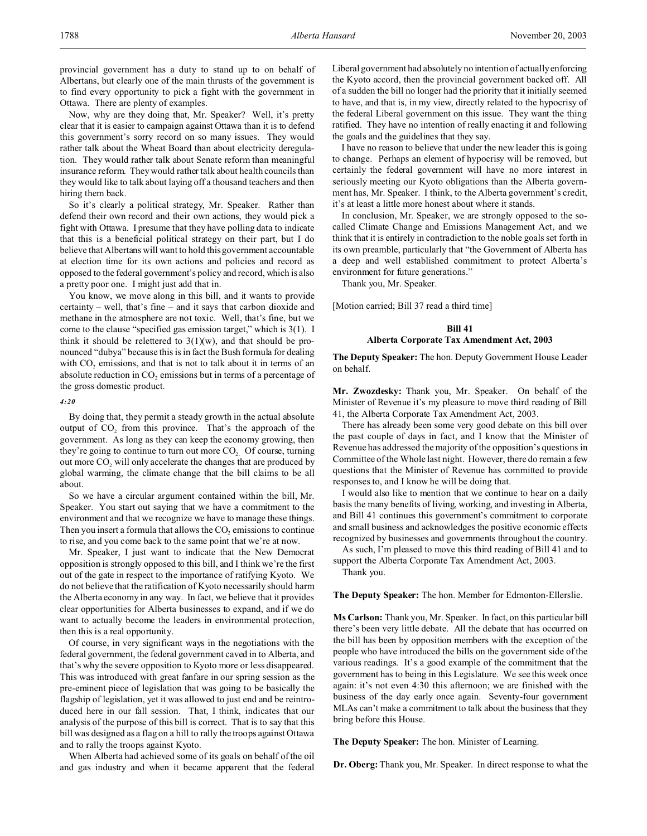Now, why are they doing that, Mr. Speaker? Well, it's pretty clear that it is easier to campaign against Ottawa than it is to defend this government's sorry record on so many issues. They would rather talk about the Wheat Board than about electricity deregulation. They would rather talk about Senate reform than meaningful insurance reform. They would rather talk about health councils than they would like to talk about laying off a thousand teachers and then hiring them back.

So it's clearly a political strategy, Mr. Speaker. Rather than defend their own record and their own actions, they would pick a fight with Ottawa. I presume that they have polling data to indicate that this is a beneficial political strategy on their part, but I do believe that Albertans will want to hold this government accountable at election time for its own actions and policies and record as opposed to the federal government's policy and record, which is also a pretty poor one. I might just add that in.

You know, we move along in this bill, and it wants to provide certainty – well, that's fine – and it says that carbon dioxide and methane in the atmosphere are not toxic. Well, that's fine, but we come to the clause "specified gas emission target," which is 3(1). I think it should be relettered to  $3(1)(w)$ , and that should be pronounced "dubya" because this is in fact the Bush formula for dealing with  $CO<sub>2</sub>$  emissions, and that is not to talk about it in terms of an absolute reduction in  $CO<sub>2</sub>$  emissions but in terms of a percentage of the gross domestic product.

## *4:20*

By doing that, they permit a steady growth in the actual absolute output of  $CO<sub>2</sub>$  from this province. That's the approach of the government. As long as they can keep the economy growing, then they're going to continue to turn out more CO<sub>2</sub>. Of course, turning out more  $CO<sub>2</sub>$  will only accelerate the changes that are produced by global warming, the climate change that the bill claims to be all about.

So we have a circular argument contained within the bill, Mr. Speaker. You start out saying that we have a commitment to the environment and that we recognize we have to manage these things. Then you insert a formula that allows the  $CO<sub>2</sub>$  emissions to continue to rise, and you come back to the same point that we're at now.

Mr. Speaker, I just want to indicate that the New Democrat opposition is strongly opposed to this bill, and I think we're the first out of the gate in respect to the importance of ratifying Kyoto. We do not believe that the ratification of Kyoto necessarily should harm the Alberta economy in any way. In fact, we believe that it provides clear opportunities for Alberta businesses to expand, and if we do want to actually become the leaders in environmental protection, then this is a real opportunity.

Of course, in very significant ways in the negotiations with the federal government, the federal government caved in to Alberta, and that's why the severe opposition to Kyoto more or less disappeared. This was introduced with great fanfare in our spring session as the pre-eminent piece of legislation that was going to be basically the flagship of legislation, yet it was allowed to just end and be reintroduced here in our fall session. That, I think, indicates that our analysis of the purpose of this bill is correct. That is to say that this bill was designed as a flag on a hill to rally the troops against Ottawa and to rally the troops against Kyoto.

When Alberta had achieved some of its goals on behalf of the oil and gas industry and when it became apparent that the federal

Liberal government had absolutely no intention of actually enforcing the Kyoto accord, then the provincial government backed off. All of a sudden the bill no longer had the priority that it initially seemed to have, and that is, in my view, directly related to the hypocrisy of the federal Liberal government on this issue. They want the thing ratified. They have no intention of really enacting it and following the goals and the guidelines that they say.

I have no reason to believe that under the new leader this is going to change. Perhaps an element of hypocrisy will be removed, but certainly the federal government will have no more interest in seriously meeting our Kyoto obligations than the Alberta government has, Mr. Speaker. I think, to the Alberta government's credit, it's at least a little more honest about where it stands.

In conclusion, Mr. Speaker, we are strongly opposed to the socalled Climate Change and Emissions Management Act, and we think that it is entirely in contradiction to the noble goals set forth in its own preamble, particularly that "the Government of Alberta has a deep and well established commitment to protect Alberta's environment for future generations."

Thank you, Mr. Speaker.

[Motion carried; Bill 37 read a third time]

### **Bill 41**

# **Alberta Corporate Tax Amendment Act, 2003**

**The Deputy Speaker:** The hon. Deputy Government House Leader on behalf.

**Mr. Zwozdesky:** Thank you, Mr. Speaker. On behalf of the Minister of Revenue it's my pleasure to move third reading of Bill 41, the Alberta Corporate Tax Amendment Act, 2003.

There has already been some very good debate on this bill over the past couple of days in fact, and I know that the Minister of Revenue has addressed the majority of the opposition's questions in Committee of the Whole last night. However, there do remain a few questions that the Minister of Revenue has committed to provide responses to, and I know he will be doing that.

I would also like to mention that we continue to hear on a daily basis the many benefits of living, working, and investing in Alberta, and Bill 41 continues this government's commitment to corporate and small business and acknowledges the positive economic effects recognized by businesses and governments throughout the country.

As such, I'm pleased to move this third reading of Bill 41 and to support the Alberta Corporate Tax Amendment Act, 2003.

Thank you.

**The Deputy Speaker:** The hon. Member for Edmonton-Ellerslie.

**Ms Carlson:** Thank you, Mr. Speaker. In fact, on this particular bill there's been very little debate. All the debate that has occurred on the bill has been by opposition members with the exception of the people who have introduced the bills on the government side of the various readings. It's a good example of the commitment that the government has to being in this Legislature. We see this week once again: it's not even 4:30 this afternoon; we are finished with the business of the day early once again. Seventy-four government MLAs can't make a commitment to talk about the business that they bring before this House.

**The Deputy Speaker:** The hon. Minister of Learning.

**Dr. Oberg:**Thank you, Mr. Speaker. In direct response to what the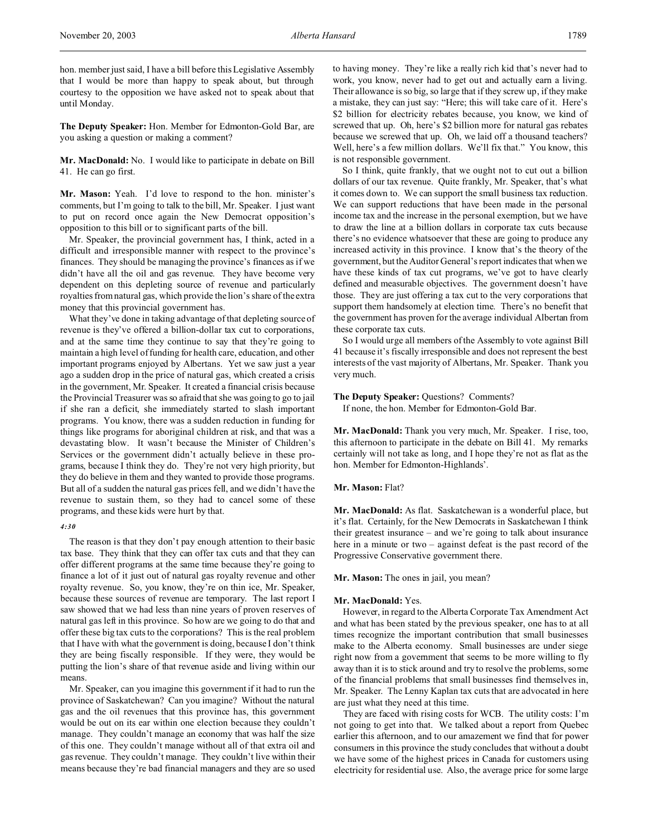hon. member just said, I have a bill before this Legislative Assembly that I would be more than happy to speak about, but through courtesy to the opposition we have asked not to speak about that until Monday.

**The Deputy Speaker:** Hon. Member for Edmonton-Gold Bar, are you asking a question or making a comment?

**Mr. MacDonald:** No. I would like to participate in debate on Bill 41. He can go first.

**Mr. Mason:** Yeah. I'd love to respond to the hon. minister's comments, but I'm going to talk to the bill, Mr. Speaker. I just want to put on record once again the New Democrat opposition's opposition to this bill or to significant parts of the bill.

Mr. Speaker, the provincial government has, I think, acted in a difficult and irresponsible manner with respect to the province's finances. They should be managing the province's finances as if we didn't have all the oil and gas revenue. They have become very dependent on this depleting source of revenue and particularly royalties from natural gas, which provide the lion's share of the extra money that this provincial government has.

What they've done in taking advantage of that depleting source of revenue is they've offered a billion-dollar tax cut to corporations, and at the same time they continue to say that they're going to maintain a high level of funding for health care, education, and other important programs enjoyed by Albertans. Yet we saw just a year ago a sudden drop in the price of natural gas, which created a crisis in the government, Mr. Speaker. It created a financial crisis because the Provincial Treasurer was so afraid that she was going to go to jail if she ran a deficit, she immediately started to slash important programs. You know, there was a sudden reduction in funding for things like programs for aboriginal children at risk, and that was a devastating blow. It wasn't because the Minister of Children's Services or the government didn't actually believe in these programs, because I think they do. They're not very high priority, but they do believe in them and they wanted to provide those programs. But all of a sudden the natural gas prices fell, and we didn't have the revenue to sustain them, so they had to cancel some of these programs, and these kids were hurt by that.

### *4:30*

The reason is that they don't pay enough attention to their basic tax base. They think that they can offer tax cuts and that they can offer different programs at the same time because they're going to finance a lot of it just out of natural gas royalty revenue and other royalty revenue. So, you know, they're on thin ice, Mr. Speaker, because these sources of revenue are temporary. The last report I saw showed that we had less than nine years of proven reserves of natural gas left in this province. So how are we going to do that and offer these big tax cuts to the corporations? This is the real problem that I have with what the government is doing, because I don't think they are being fiscally responsible. If they were, they would be putting the lion's share of that revenue aside and living within our means.

Mr. Speaker, can you imagine this government if it had to run the province of Saskatchewan? Can you imagine? Without the natural gas and the oil revenues that this province has, this government would be out on its ear within one election because they couldn't manage. They couldn't manage an economy that was half the size of this one. They couldn't manage without all of that extra oil and gas revenue. They couldn't manage. They couldn't live within their means because they're bad financial managers and they are so used

to having money. They're like a really rich kid that's never had to work, you know, never had to get out and actually earn a living. Their allowance is so big, so large that if they screw up, if they make a mistake, they can just say: "Here; this will take care of it. Here's \$2 billion for electricity rebates because, you know, we kind of screwed that up. Oh, here's \$2 billion more for natural gas rebates because we screwed that up. Oh, we laid off a thousand teachers? Well, here's a few million dollars. We'll fix that." You know, this is not responsible government.

So I think, quite frankly, that we ought not to cut out a billion dollars of our tax revenue. Quite frankly, Mr. Speaker, that's what it comes down to. We can support the small business tax reduction. We can support reductions that have been made in the personal income tax and the increase in the personal exemption, but we have to draw the line at a billion dollars in corporate tax cuts because there's no evidence whatsoever that these are going to produce any increased activity in this province. I know that's the theory of the government, but the Auditor General's report indicates that when we have these kinds of tax cut programs, we've got to have clearly defined and measurable objectives. The government doesn't have those. They are just offering a tax cut to the very corporations that support them handsomely at election time. There's no benefit that the government has proven for the average individual Albertan from these corporate tax cuts.

So I would urge all members of the Assembly to vote against Bill 41 because it's fiscally irresponsible and does not represent the best interests of the vast majority of Albertans, Mr. Speaker. Thank you very much.

#### **The Deputy Speaker:** Questions? Comments?

If none, the hon. Member for Edmonton-Gold Bar.

**Mr. MacDonald:** Thank you very much, Mr. Speaker. I rise, too, this afternoon to participate in the debate on Bill 41. My remarks certainly will not take as long, and I hope they're not as flat as the hon. Member for Edmonton-Highlands'.

### **Mr. Mason:** Flat?

**Mr. MacDonald:** As flat. Saskatchewan is a wonderful place, but it's flat. Certainly, for the New Democrats in Saskatchewan I think their greatest insurance – and we're going to talk about insurance here in a minute or two – against defeat is the past record of the Progressive Conservative government there.

#### **Mr. Mason:** The ones in jail, you mean?

#### **Mr. MacDonald:** Yes.

However, in regard to the Alberta Corporate Tax Amendment Act and what has been stated by the previous speaker, one has to at all times recognize the important contribution that small businesses make to the Alberta economy. Small businesses are under siege right now from a government that seems to be more willing to fly away than it is to stick around and try to resolve the problems, some of the financial problems that small businesses find themselves in, Mr. Speaker. The Lenny Kaplan tax cuts that are advocated in here are just what they need at this time.

They are faced with rising costs for WCB. The utility costs: I'm not going to get into that. We talked about a report from Quebec earlier this afternoon, and to our amazement we find that for power consumers in this province the study concludes that without a doubt we have some of the highest prices in Canada for customers using electricity for residential use. Also, the average price for some large